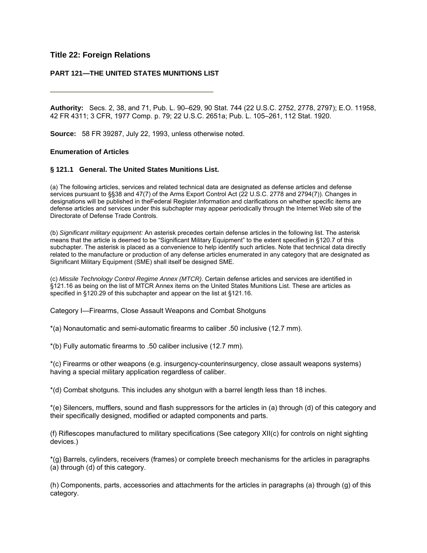# **Title 22: Foreign Relations**

### **PART 121—THE UNITED STATES MUNITIONS LIST**

**Authority:** Secs. 2, 38, and 71, Pub. L. 90–629, 90 Stat. 744 (22 U.S.C. 2752, 2778, 2797); E.O. 11958, 42 FR 4311; 3 CFR, 1977 Comp. p. 79; 22 U.S.C. 2651a; Pub. L. 105–261, 112 Stat. 1920.

**Source:** 58 FR 39287, July 22, 1993, unless otherwise noted.

#### **Enumeration of Articles**

### **§ 121.1 General. The United States Munitions List.**

(a) The following articles, services and related technical data are designated as defense articles and defense services pursuant to §§38 and 47(7) of the Arms Export Control Act (22 U.S.C. 2778 and 2794(7)). Changes in designations will be published in theFederal Register.Information and clarifications on whether specific items are defense articles and services under this subchapter may appear periodically through the Internet Web site of the Directorate of Defense Trade Controls.

(b) *Significant military equipment:* An asterisk precedes certain defense articles in the following list. The asterisk means that the article is deemed to be "Significant Military Equipment" to the extent specified in §120.7 of this subchapter. The asterisk is placed as a convenience to help identify such articles. Note that technical data directly related to the manufacture or production of any defense articles enumerated in any category that are designated as Significant Military Equipment (SME) shall itself be designed SME.

(c) *Missile Technology Control Regime Annex (MTCR).* Certain defense articles and services are identified in §121.16 as being on the list of MTCR Annex items on the United States Munitions List. These are articles as specified in §120.29 of this subchapter and appear on the list at §121.16.

Category I—Firearms, Close Assault Weapons and Combat Shotguns

\*(a) Nonautomatic and semi-automatic firearms to caliber .50 inclusive (12.7 mm).

\*(b) Fully automatic firearms to .50 caliber inclusive (12.7 mm).

\*(c) Firearms or other weapons (e.g. insurgency-counterinsurgency, close assault weapons systems) having a special military application regardless of caliber.

\*(d) Combat shotguns. This includes any shotgun with a barrel length less than 18 inches.

\*(e) Silencers, mufflers, sound and flash suppressors for the articles in (a) through (d) of this category and their specifically designed, modified or adapted components and parts.

(f) Riflescopes manufactured to military specifications (See category XII(c) for controls on night sighting devices.)

\*(g) Barrels, cylinders, receivers (frames) or complete breech mechanisms for the articles in paragraphs (a) through (d) of this category.

(h) Components, parts, accessories and attachments for the articles in paragraphs (a) through (g) of this category.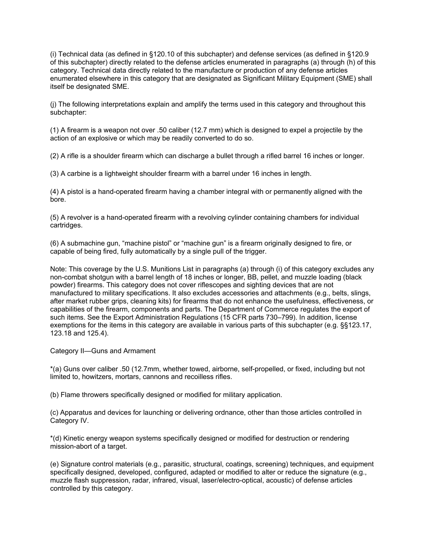(i) Technical data (as defined in §120.10 of this subchapter) and defense services (as defined in §120.9 of this subchapter) directly related to the defense articles enumerated in paragraphs (a) through (h) of this category. Technical data directly related to the manufacture or production of any defense articles enumerated elsewhere in this category that are designated as Significant Military Equipment (SME) shall itself be designated SME.

(j) The following interpretations explain and amplify the terms used in this category and throughout this subchapter:

(1) A firearm is a weapon not over .50 caliber (12.7 mm) which is designed to expel a projectile by the action of an explosive or which may be readily converted to do so.

(2) A rifle is a shoulder firearm which can discharge a bullet through a rifled barrel 16 inches or longer.

(3) A carbine is a lightweight shoulder firearm with a barrel under 16 inches in length.

(4) A pistol is a hand-operated firearm having a chamber integral with or permanently aligned with the bore.

(5) A revolver is a hand-operated firearm with a revolving cylinder containing chambers for individual cartridges.

(6) A submachine gun, "machine pistol" or "machine gun" is a firearm originally designed to fire, or capable of being fired, fully automatically by a single pull of the trigger.

Note: This coverage by the U.S. Munitions List in paragraphs (a) through (i) of this category excludes any non-combat shotgun with a barrel length of 18 inches or longer, BB, pellet, and muzzle loading (black powder) firearms. This category does not cover riflescopes and sighting devices that are not manufactured to military specifications. It also excludes accessories and attachments (e.g., belts, slings, after market rubber grips, cleaning kits) for firearms that do not enhance the usefulness, effectiveness, or capabilities of the firearm, components and parts. The Department of Commerce regulates the export of such items. See the Export Administration Regulations (15 CFR parts 730–799). In addition, license exemptions for the items in this category are available in various parts of this subchapter (e.g. §§123.17, 123.18 and 125.4).

### Category II—Guns and Armament

\*(a) Guns over caliber .50 (12.7mm, whether towed, airborne, self-propelled, or fixed, including but not limited to, howitzers, mortars, cannons and recoilless rifles.

(b) Flame throwers specifically designed or modified for military application.

(c) Apparatus and devices for launching or delivering ordnance, other than those articles controlled in Category IV.

\*(d) Kinetic energy weapon systems specifically designed or modified for destruction or rendering mission-abort of a target.

(e) Signature control materials (e.g., parasitic, structural, coatings, screening) techniques, and equipment specifically designed, developed, configured, adapted or modified to alter or reduce the signature (e.g., muzzle flash suppression, radar, infrared, visual, laser/electro-optical, acoustic) of defense articles controlled by this category.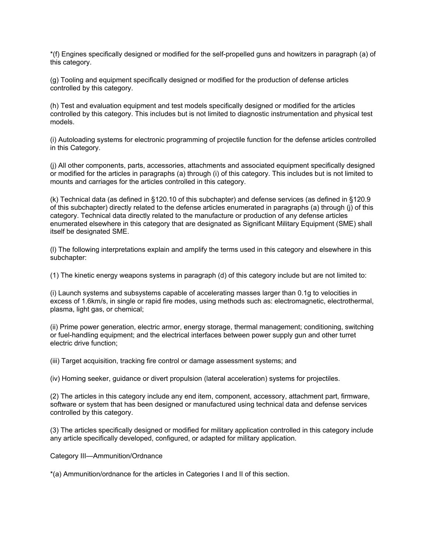\*(f) Engines specifically designed or modified for the self-propelled guns and howitzers in paragraph (a) of this category.

(g) Tooling and equipment specifically designed or modified for the production of defense articles controlled by this category.

(h) Test and evaluation equipment and test models specifically designed or modified for the articles controlled by this category. This includes but is not limited to diagnostic instrumentation and physical test models.

(i) Autoloading systems for electronic programming of projectile function for the defense articles controlled in this Category.

(j) All other components, parts, accessories, attachments and associated equipment specifically designed or modified for the articles in paragraphs (a) through (i) of this category. This includes but is not limited to mounts and carriages for the articles controlled in this category.

(k) Technical data (as defined in §120.10 of this subchapter) and defense services (as defined in §120.9 of this subchapter) directly related to the defense articles enumerated in paragraphs (a) through (j) of this category. Technical data directly related to the manufacture or production of any defense articles enumerated elsewhere in this category that are designated as Significant Military Equipment (SME) shall itself be designated SME.

(l) The following interpretations explain and amplify the terms used in this category and elsewhere in this subchapter:

(1) The kinetic energy weapons systems in paragraph (d) of this category include but are not limited to:

(i) Launch systems and subsystems capable of accelerating masses larger than 0.1g to velocities in excess of 1.6km/s, in single or rapid fire modes, using methods such as: electromagnetic, electrothermal, plasma, light gas, or chemical;

(ii) Prime power generation, electric armor, energy storage, thermal management; conditioning, switching or fuel-handling equipment; and the electrical interfaces between power supply gun and other turret electric drive function;

(iii) Target acquisition, tracking fire control or damage assessment systems; and

(iv) Homing seeker, guidance or divert propulsion (lateral acceleration) systems for projectiles.

(2) The articles in this category include any end item, component, accessory, attachment part, firmware, software or system that has been designed or manufactured using technical data and defense services controlled by this category.

(3) The articles specifically designed or modified for military application controlled in this category include any article specifically developed, configured, or adapted for military application.

Category III—Ammunition/Ordnance

\*(a) Ammunition/ordnance for the articles in Categories I and II of this section.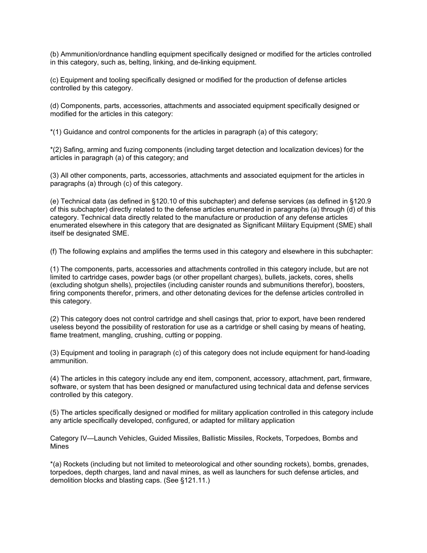(b) Ammunition/ordnance handling equipment specifically designed or modified for the articles controlled in this category, such as, belting, linking, and de-linking equipment.

(c) Equipment and tooling specifically designed or modified for the production of defense articles controlled by this category.

(d) Components, parts, accessories, attachments and associated equipment specifically designed or modified for the articles in this category:

\*(1) Guidance and control components for the articles in paragraph (a) of this category;

\*(2) Safing, arming and fuzing components (including target detection and localization devices) for the articles in paragraph (a) of this category; and

(3) All other components, parts, accessories, attachments and associated equipment for the articles in paragraphs (a) through (c) of this category.

(e) Technical data (as defined in §120.10 of this subchapter) and defense services (as defined in §120.9 of this subchapter) directly related to the defense articles enumerated in paragraphs (a) through (d) of this category. Technical data directly related to the manufacture or production of any defense articles enumerated elsewhere in this category that are designated as Significant Military Equipment (SME) shall itself be designated SME.

(f) The following explains and amplifies the terms used in this category and elsewhere in this subchapter:

(1) The components, parts, accessories and attachments controlled in this category include, but are not limited to cartridge cases, powder bags (or other propellant charges), bullets, jackets, cores, shells (excluding shotgun shells), projectiles (including canister rounds and submunitions therefor), boosters, firing components therefor, primers, and other detonating devices for the defense articles controlled in this category.

(2) This category does not control cartridge and shell casings that, prior to export, have been rendered useless beyond the possibility of restoration for use as a cartridge or shell casing by means of heating, flame treatment, mangling, crushing, cutting or popping.

(3) Equipment and tooling in paragraph (c) of this category does not include equipment for hand-loading ammunition.

(4) The articles in this category include any end item, component, accessory, attachment, part, firmware, software, or system that has been designed or manufactured using technical data and defense services controlled by this category.

(5) The articles specifically designed or modified for military application controlled in this category include any article specifically developed, configured, or adapted for military application

Category IV—Launch Vehicles, Guided Missiles, Ballistic Missiles, Rockets, Torpedoes, Bombs and Mines

\*(a) Rockets (including but not limited to meteorological and other sounding rockets), bombs, grenades, torpedoes, depth charges, land and naval mines, as well as launchers for such defense articles, and demolition blocks and blasting caps. (See §121.11.)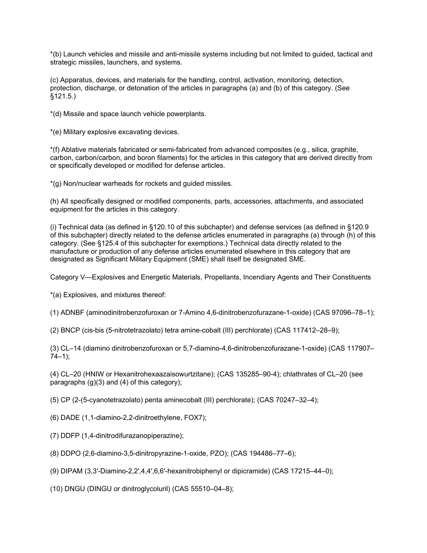\*(b) Launch vehicles and missile and anti-missile systems including but not limited to guided, tactical and strategic missiles, launchers, and systems.

(c) Apparatus, devices, and materials for the handling, control, activation, monitoring, detection, protection, discharge, or detonation of the articles in paragraphs (a) and (b) of this category. (See §121.5.)

\*(d) Missile and space launch vehicle powerplants.

\*(e) Military explosive excavating devices.

\*(f) Ablative materials fabricated or semi-fabricated from advanced composites (e.g., silica, graphite, carbon, carbon/carbon, and boron filaments) for the articles in this category that are derived directly from or specifically developed or modified for defense articles.

\*(g) Non/nuclear warheads for rockets and guided missiles.

(h) All specifically designed or modified components, parts, accessories, attachments, and associated equipment for the articles in this category.

(i) Technical data (as defined in §120.10 of this subchapter) and defense services (as defined in §120.9 of this subchapter) directly related to the defense articles enumerated in paragraphs (a) through (h) of this category. (See §125.4 of this subchapter for exemptions.) Technical data directly related to the manufacture or production of any defense articles enumerated elsewhere in this category that are designated as Significant Military Equipment (SME) shall itself be designated SME.

Category V—Explosives and Energetic Materials, Propellants, Incendiary Agents and Their Constituents

\*(a) Explosives, and mixtures thereof:

(1) ADNBF (aminodinitrobenzofuroxan or 7-Amino 4,6-dinitrobenzofurazane-1-oxide) (CAS 97096–78–1);

(2) BNCP (cis-bis (5-nitrotetrazolato) tetra amine-cobalt (III) perchlorate) (CAS 117412–28–9);

(3) CL–14 (diamino dinitrobenzofuroxan or 5,7-diamino-4,6-dinitrobenzofurazane-1-oxide) (CAS 117907– 74–1);

(4) CL–20 (HNIW or Hexanitrohexaazaisowurtzitane); (CAS 135285–90-4); chlathrates of CL–20 (see paragraphs (g)(3) and (4) of this category);

(5) CP (2-(5-cyanotetrazolato) penta aminecobalt (III) perchlorate); (CAS 70247–32–4);

(6) DADE (1,1-diamino-2,2-dinitroethylene, FOX7);

(7) DDFP (1,4-dinitrodifurazanopiperazine);

(8) DDPO (2,6-diamino-3,5-dinitropyrazine-1-oxide, PZO); (CAS 194486–77–6);

(9) DIPAM (3,3′-Diamino-2,2′,4,4′,6,6′-hexanitrobiphenyl or dipicramide) (CAS 17215–44–0);

(10) DNGU (DINGU or dinitroglycoluril) (CAS 55510–04–8);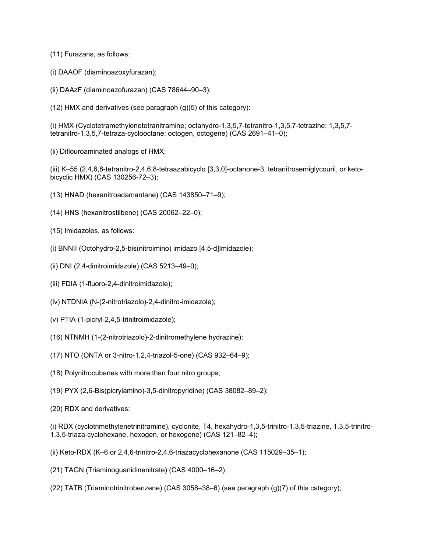(11) Furazans, as follows:

- (i) DAAOF (diaminoazoxyfurazan);
- (ii) DAAzF (diaminoazofurazan) (CAS 78644–90–3);
- (12) HMX and derivatives (see paragraph (g)(5) of this category):

(i) HMX (Cyclotetramethylenetetranitramine; octahydro-1,3,5,7-tetranitro-1,3,5,7-tetrazine; 1,3,5,7 tetranitro-1,3,5,7-tetraza-cyclooctane; octogen, octogene) (CAS 2691–41–0);

(ii) Diflouroaminated analogs of HMX;

(iii) K–55 (2,4,6,8-tetranitro-2,4,6,8-tetraazabicyclo [3,3,0]-octanone-3, tetranitrosemiglycouril, or ketobicyclic HMX) (CAS 130256-72–3);

- (13) HNAD (hexanitroadamantane) (CAS 143850–71–9);
- (14) HNS (hexanitrostilbene) (CAS 20062–22–0);
- (15) Imidazoles, as follows:
- (i) BNNII (Octohydro-2,5-bis(nitroimino) imidazo [4,5-d]Imidazole);
- (ii) DNI (2,4-dinitroimidazole) (CAS 5213–49–0);
- (iii) FDIA (1-fluoro-2,4-dinitroimidazole);
- (iv) NTDNIA (N-(2-nitrotriazolo)-2,4-dinitro-imidazole);
- (v) PTIA (1-picryl-2,4,5-trinitroimidazole);
- (16) NTNMH (1-(2-nitrotriazolo)-2-dinitromethylene hydrazine);
- (17) NTO (ONTA or 3-nitro-1,2,4-triazol-5-one) (CAS 932–64–9);
- (18) Polynitrocubanes with more than four nitro groups;
- (19) PYX (2,6-Bis(picrylamino)-3,5-dinitropyridine) (CAS 38082–89–2);
- (20) RDX and derivatives:

(i) RDX (cyclotrimethylenetrinitramine), cyclonite, T4, hexahydro-1,3,5-trinitro-1,3,5-triazine, 1,3,5-trinitro-1,3,5-triaza-cyclohexane, hexogen, or hexogene) (CAS 121–82–4);

- (ii) Keto-RDX (K–6 or 2,4,6-trinitro-2,4,6-triazacyclohexanone (CAS 115029–35–1);
- (21) TAGN (Triaminoguanidinenitrate) (CAS 4000–16–2);
- (22) TATB (Triaminotrinitrobenzene) (CAS 3058–38–6) (see paragraph (g)(7) of this category);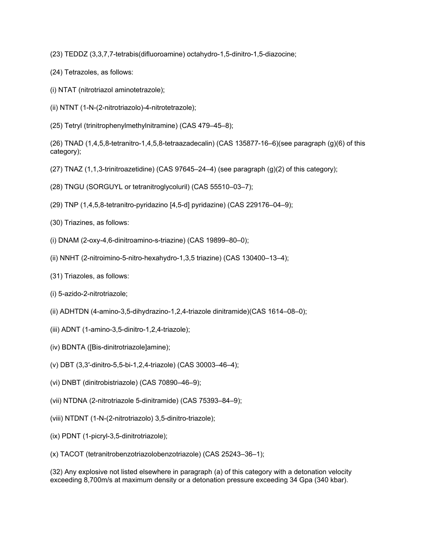- (23) TEDDZ (3,3,7,7-tetrabis(difluoroamine) octahydro-1,5-dinitro-1,5-diazocine;
- (24) Tetrazoles, as follows:
- (i) NTAT (nitrotriazol aminotetrazole);
- (ii) NTNT (1-N-(2-nitrotriazolo)-4-nitrotetrazole);
- (25) Tetryl (trinitrophenylmethylnitramine) (CAS 479–45–8);

(26) TNAD (1,4,5,8-tetranitro-1,4,5,8-tetraazadecalin) (CAS 135877-16–6)(see paragraph (g)(6) of this category);

- (27) TNAZ (1,1,3-trinitroazetidine) (CAS 97645–24–4) (see paragraph (g)(2) of this category);
- (28) TNGU (SORGUYL or tetranitroglycoluril) (CAS 55510–03–7);
- (29) TNP (1,4,5,8-tetranitro-pyridazino [4,5-d] pyridazine) (CAS 229176–04–9);
- (30) Triazines, as follows:
- (i) DNAM (2-oxy-4,6-dinitroamino-s-triazine) (CAS 19899–80–0);
- (ii) NNHT (2-nitroimino-5-nitro-hexahydro-1,3,5 triazine) (CAS 130400–13–4);
- (31) Triazoles, as follows:
- (i) 5-azido-2-nitrotriazole;
- (ii) ADHTDN (4-amino-3,5-dihydrazino-1,2,4-triazole dinitramide)(CAS 1614–08–0);
- (iii) ADNT (1-amino-3,5-dinitro-1,2,4-triazole);
- (iv) BDNTA ([Bis-dinitrotriazole]amine);
- (v) DBT (3,3′-dinitro-5,5-bi-1,2,4-triazole) (CAS 30003–46–4);
- (vi) DNBT (dinitrobistriazole) (CAS 70890–46–9);
- (vii) NTDNA (2-nitrotriazole 5-dinitramide) (CAS 75393–84–9);
- (viii) NTDNT (1-N-(2-nitrotriazolo) 3,5-dinitro-triazole);
- (ix) PDNT (1-picryl-3,5-dinitrotriazole);
- (x) TACOT (tetranitrobenzotriazolobenzotriazole) (CAS 25243–36–1);

(32) Any explosive not listed elsewhere in paragraph (a) of this category with a detonation velocity exceeding 8,700m/s at maximum density or a detonation pressure exceeding 34 Gpa (340 kbar).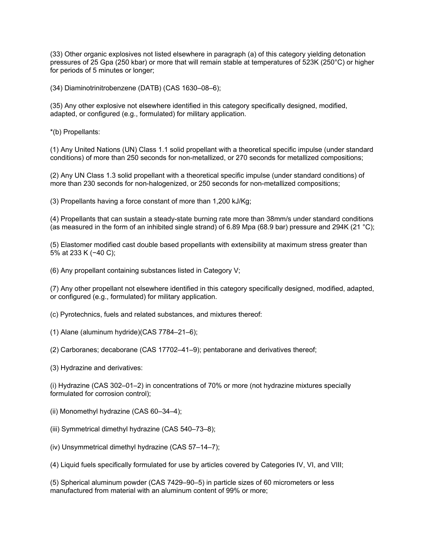(33) Other organic explosives not listed elsewhere in paragraph (a) of this category yielding detonation pressures of 25 Gpa (250 kbar) or more that will remain stable at temperatures of 523K (250°C) or higher for periods of 5 minutes or longer;

(34) Diaminotrinitrobenzene (DATB) (CAS 1630–08–6);

(35) Any other explosive not elsewhere identified in this category specifically designed, modified, adapted, or configured (e.g., formulated) for military application.

\*(b) Propellants:

(1) Any United Nations (UN) Class 1.1 solid propellant with a theoretical specific impulse (under standard conditions) of more than 250 seconds for non-metallized, or 270 seconds for metallized compositions;

(2) Any UN Class 1.3 solid propellant with a theoretical specific impulse (under standard conditions) of more than 230 seconds for non-halogenized, or 250 seconds for non-metallized compositions;

(3) Propellants having a force constant of more than 1,200 kJ/Kg;

(4) Propellants that can sustain a steady-state burning rate more than 38mm/s under standard conditions (as measured in the form of an inhibited single strand) of 6.89 Mpa (68.9 bar) pressure and 294K (21 °C);

(5) Elastomer modified cast double based propellants with extensibility at maximum stress greater than 5% at 233 K (−40 C);

(6) Any propellant containing substances listed in Category V;

(7) Any other propellant not elsewhere identified in this category specifically designed, modified, adapted, or configured (e.g., formulated) for military application.

(c) Pyrotechnics, fuels and related substances, and mixtures thereof:

(1) Alane (aluminum hydride)(CAS 7784–21–6);

(2) Carboranes; decaborane (CAS 17702–41–9); pentaborane and derivatives thereof;

(3) Hydrazine and derivatives:

(i) Hydrazine (CAS 302–01–2) in concentrations of 70% or more (not hydrazine mixtures specially formulated for corrosion control);

(ii) Monomethyl hydrazine (CAS 60–34–4);

- (iii) Symmetrical dimethyl hydrazine (CAS 540–73–8);
- (iv) Unsymmetrical dimethyl hydrazine (CAS 57–14–7);

(4) Liquid fuels specifically formulated for use by articles covered by Categories IV, VI, and VIII;

(5) Spherical aluminum powder (CAS 7429–90–5) in particle sizes of 60 micrometers or less manufactured from material with an aluminum content of 99% or more;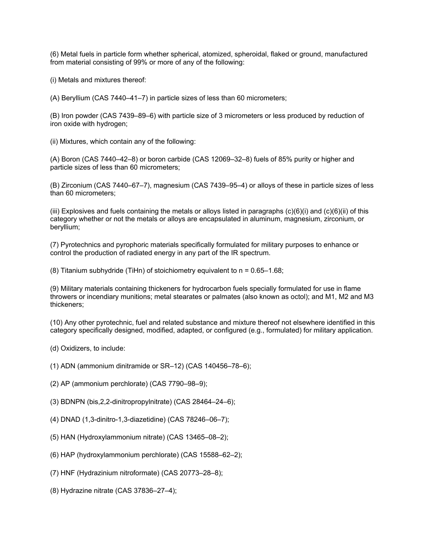(6) Metal fuels in particle form whether spherical, atomized, spheroidal, flaked or ground, manufactured from material consisting of 99% or more of any of the following:

(i) Metals and mixtures thereof:

(A) Beryllium (CAS 7440–41–7) in particle sizes of less than 60 micrometers;

(B) Iron powder (CAS 7439–89–6) with particle size of 3 micrometers or less produced by reduction of iron oxide with hydrogen;

(ii) Mixtures, which contain any of the following:

(A) Boron (CAS 7440–42–8) or boron carbide (CAS 12069–32–8) fuels of 85% purity or higher and particle sizes of less than 60 micrometers;

(B) Zirconium (CAS 7440–67–7), magnesium (CAS 7439–95–4) or alloys of these in particle sizes of less than 60 micrometers;

(iii) Explosives and fuels containing the metals or alloys listed in paragraphs (c)(6)(i) and (c)(6)(ii) of this category whether or not the metals or alloys are encapsulated in aluminum, magnesium, zirconium, or beryllium;

(7) Pyrotechnics and pyrophoric materials specifically formulated for military purposes to enhance or control the production of radiated energy in any part of the IR spectrum.

(8) Titanium subhydride (TiHn) of stoichiometry equivalent to n = 0.65–1.68;

(9) Military materials containing thickeners for hydrocarbon fuels specially formulated for use in flame throwers or incendiary munitions; metal stearates or palmates (also known as octol); and M1, M2 and M3 thickeners;

(10) Any other pyrotechnic, fuel and related substance and mixture thereof not elsewhere identified in this category specifically designed, modified, adapted, or configured (e.g., formulated) for military application.

- (d) Oxidizers, to include:
- (1) ADN (ammonium dinitramide or SR–12) (CAS 140456–78–6);
- (2) AP (ammonium perchlorate) (CAS 7790–98–9);
- (3) BDNPN (bis,2,2-dinitropropylnitrate) (CAS 28464–24–6);
- (4) DNAD (1,3-dinitro-1,3-diazetidine) (CAS 78246–06–7);
- (5) HAN (Hydroxylammonium nitrate) (CAS 13465–08–2);
- (6) HAP (hydroxylammonium perchlorate) (CAS 15588–62–2);
- (7) HNF (Hydrazinium nitroformate) (CAS 20773–28–8);
- (8) Hydrazine nitrate (CAS 37836–27–4);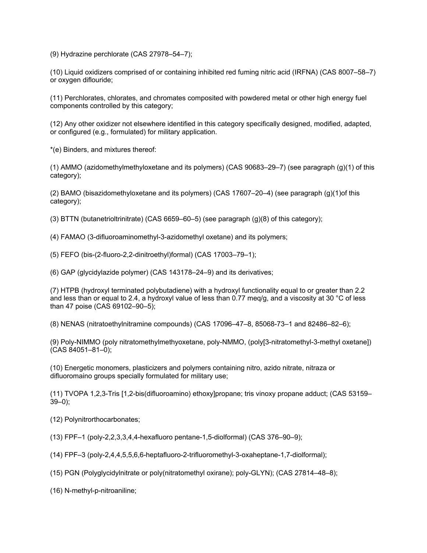(9) Hydrazine perchlorate (CAS 27978–54–7);

(10) Liquid oxidizers comprised of or containing inhibited red fuming nitric acid (IRFNA) (CAS 8007–58–7) or oxygen diflouride;

(11) Perchlorates, chlorates, and chromates composited with powdered metal or other high energy fuel components controlled by this category;

(12) Any other oxidizer not elsewhere identified in this category specifically designed, modified, adapted, or configured (e.g., formulated) for military application.

\*(e) Binders, and mixtures thereof:

(1) AMMO (azidomethylmethyloxetane and its polymers) (CAS 90683–29–7) (see paragraph (g)(1) of this category);

(2) BAMO (bisazidomethyloxetane and its polymers) (CAS 17607–20–4) (see paragraph (g)(1)of this category);

(3) BTTN (butanetrioltrinitrate) (CAS 6659–60–5) (see paragraph (g)(8) of this category);

(4) FAMAO (3-difluoroaminomethyl-3-azidomethyl oxetane) and its polymers;

(5) FEFO (bis-(2-fluoro-2,2-dinitroethyl)formal) (CAS 17003–79–1);

(6) GAP (glycidylazide polymer) (CAS 143178–24–9) and its derivatives;

(7) HTPB (hydroxyl terminated polybutadiene) with a hydroxyl functionality equal to or greater than 2.2 and less than or equal to 2.4, a hydroxyl value of less than 0.77 meq/g, and a viscosity at 30 °C of less than 47 poise (CAS 69102–90–5);

(8) NENAS (nitratoethylnitramine compounds) (CAS 17096–47–8, 85068-73–1 and 82486–82–6);

(9) Poly-NIMMO (poly nitratomethylmethyoxetane, poly-NMMO, (poly[3-nitratomethyl-3-methyl oxetane]) (CAS 84051–81–0);

(10) Energetic monomers, plasticizers and polymers containing nitro, azido nitrate, nitraza or difluoromaino groups specially formulated for military use;

(11) TVOPA 1,2,3-Tris [1,2-bis(difluoroamino) ethoxy]propane; tris vinoxy propane adduct; (CAS 53159– 39–0);

(12) Polynitrorthocarbonates;

(13) FPF–1 (poly-2,2,3,3,4,4-hexafluoro pentane-1,5-diolformal) (CAS 376–90–9);

(14) FPF–3 (poly-2,4,4,5,5,6,6-heptafluoro-2-trifluoromethyl-3-oxaheptane-1,7-diolformal);

(15) PGN (Polyglycidylnitrate or poly(nitratomethyl oxirane); poly-GLYN); (CAS 27814–48–8);

(16) N-methyl-p-nitroaniline;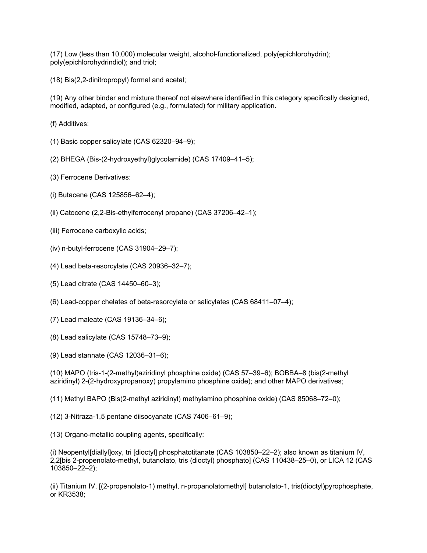(17) Low (less than 10,000) molecular weight, alcohol-functionalized, poly(epichlorohydrin); poly(epichlorohydrindiol); and triol;

(18) Bis(2,2-dinitropropyl) formal and acetal;

(19) Any other binder and mixture thereof not elsewhere identified in this category specifically designed, modified, adapted, or configured (e.g., formulated) for military application.

(f) Additives:

(1) Basic copper salicylate (CAS 62320–94–9);

- (2) BHEGA (Bis-(2-hydroxyethyl)glycolamide) (CAS 17409–41–5);
- (3) Ferrocene Derivatives:
- (i) Butacene (CAS 125856–62–4);
- (ii) Catocene (2,2-Bis-ethylferrocenyl propane) (CAS 37206–42–1);
- (iii) Ferrocene carboxylic acids;
- (iv) n-butyl-ferrocene (CAS 31904–29–7);
- (4) Lead beta-resorcylate (CAS 20936–32–7);
- (5) Lead citrate (CAS 14450–60–3);
- (6) Lead-copper chelates of beta-resorcylate or salicylates (CAS 68411–07–4);
- (7) Lead maleate (CAS 19136–34–6);
- (8) Lead salicylate (CAS 15748–73–9);
- (9) Lead stannate (CAS 12036–31–6);

(10) MAPO (tris-1-(2-methyl)aziridinyl phosphine oxide) (CAS 57–39–6); BOBBA–8 (bis(2-methyl aziridinyl) 2-(2-hydroxypropanoxy) propylamino phosphine oxide); and other MAPO derivatives;

(11) Methyl BAPO (Bis(2-methyl aziridinyl) methylamino phosphine oxide) (CAS 85068–72–0);

- (12) 3-Nitraza-1,5 pentane diisocyanate (CAS 7406–61–9);
- (13) Organo-metallic coupling agents, specifically:

(i) Neopentyl[diallyl]oxy, tri [dioctyl] phosphatotitanate (CAS 103850–22–2); also known as titanium IV, 2,2[bis 2-propenolato-methyl, butanolato, tris (dioctyl) phosphato] (CAS 110438–25–0), or LICA 12 (CAS 103850–22–2);

(ii) Titanium IV, [(2-propenolato-1) methyl, n-propanolatomethyl] butanolato-1, tris(dioctyl)pyrophosphate, or KR3538;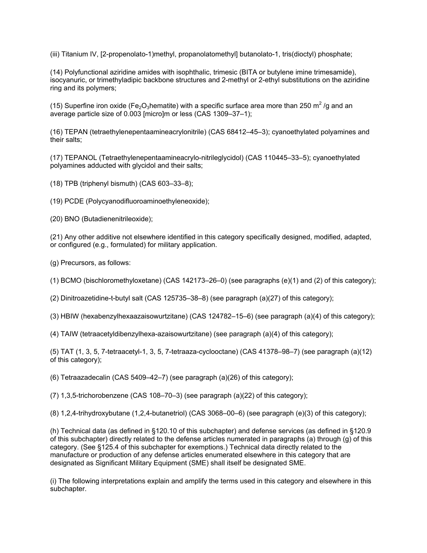(iii) Titanium IV, [2-propenolato-1)methyl, propanolatomethyl] butanolato-1, tris(dioctyl) phosphate;

(14) Polyfunctional aziridine amides with isophthalic, trimesic (BITA or butylene imine trimesamide), isocyanuric, or trimethyladipic backbone structures and 2-methyl or 2-ethyl substitutions on the aziridine ring and its polymers;

(15) Superfine iron oxide (Fe<sub>2</sub>O<sub>3</sub>hematite) with a specific surface area more than 250 m<sup>2</sup> /g and an average particle size of 0.003 [micro]m or less (CAS 1309–37–1);

(16) TEPAN (tetraethylenepentaamineacrylonitrile) (CAS 68412–45–3); cyanoethylated polyamines and their salts;

(17) TEPANOL (Tetraethylenepentaamineacrylo-nitrileglycidol) (CAS 110445–33–5); cyanoethylated polyamines adducted with glycidol and their salts;

(18) TPB (triphenyl bismuth) (CAS 603–33–8);

(19) PCDE (Polycyanodifluoroaminoethyleneoxide);

(20) BNO (Butadienenitrileoxide);

(21) Any other additive not elsewhere identified in this category specifically designed, modified, adapted, or configured (e.g., formulated) for military application.

(g) Precursors, as follows:

(1) BCMO (bischloromethyloxetane) (CAS 142173–26–0) (see paragraphs (e)(1) and (2) of this category);

(2) Dinitroazetidine-t-butyl salt (CAS 125735–38–8) (see paragraph (a)(27) of this category);

(3) HBIW (hexabenzylhexaazaisowurtzitane) (CAS 124782–15–6) (see paragraph (a)(4) of this category);

(4) TAIW (tetraacetyldibenzylhexa-azaisowurtzitane) (see paragraph (a)(4) of this category);

(5) TAT (1, 3, 5, 7-tetraacetyl-1, 3, 5, 7-tetraaza-cyclooctane) (CAS 41378–98–7) (see paragraph (a)(12) of this category);

(6) Tetraazadecalin (CAS 5409–42–7) (see paragraph (a)(26) of this category);

(7) 1,3,5-trichorobenzene (CAS 108–70–3) (see paragraph (a)(22) of this category);

(8) 1,2,4-trihydroxybutane (1,2,4-butanetriol) (CAS 3068–00–6) (see paragraph (e)(3) of this category);

(h) Technical data (as defined in §120.10 of this subchapter) and defense services (as defined in §120.9 of this subchapter) directly related to the defense articles numerated in paragraphs (a) through (g) of this category. (See §125.4 of this subchapter for exemptions.) Technical data directly related to the manufacture or production of any defense articles enumerated elsewhere in this category that are designated as Significant Military Equipment (SME) shall itself be designated SME.

(i) The following interpretations explain and amplify the terms used in this category and elsewhere in this subchapter.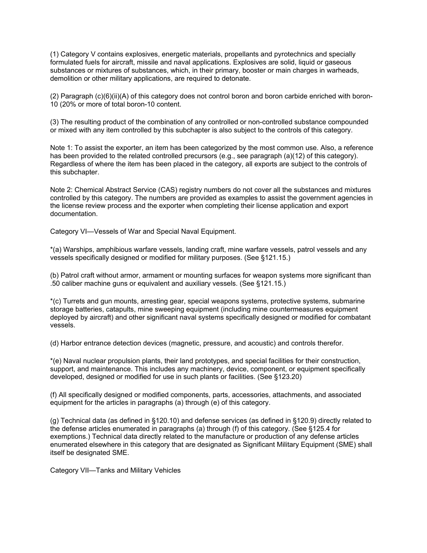(1) Category V contains explosives, energetic materials, propellants and pyrotechnics and specially formulated fuels for aircraft, missile and naval applications. Explosives are solid, liquid or gaseous substances or mixtures of substances, which, in their primary, booster or main charges in warheads, demolition or other military applications, are required to detonate.

(2) Paragraph (c)(6)(ii)(A) of this category does not control boron and boron carbide enriched with boron-10 (20% or more of total boron-10 content.

(3) The resulting product of the combination of any controlled or non-controlled substance compounded or mixed with any item controlled by this subchapter is also subject to the controls of this category.

Note 1: To assist the exporter, an item has been categorized by the most common use. Also, a reference has been provided to the related controlled precursors (e.g., see paragraph (a)(12) of this category). Regardless of where the item has been placed in the category, all exports are subject to the controls of this subchapter.

Note 2: Chemical Abstract Service (CAS) registry numbers do not cover all the substances and mixtures controlled by this category. The numbers are provided as examples to assist the government agencies in the license review process and the exporter when completing their license application and export documentation.

Category VI—Vessels of War and Special Naval Equipment.

\*(a) Warships, amphibious warfare vessels, landing craft, mine warfare vessels, patrol vessels and any vessels specifically designed or modified for military purposes. (See §121.15.)

(b) Patrol craft without armor, armament or mounting surfaces for weapon systems more significant than .50 caliber machine guns or equivalent and auxiliary vessels. (See §121.15.)

\*(c) Turrets and gun mounts, arresting gear, special weapons systems, protective systems, submarine storage batteries, catapults, mine sweeping equipment (including mine countermeasures equipment deployed by aircraft) and other significant naval systems specifically designed or modified for combatant vessels.

(d) Harbor entrance detection devices (magnetic, pressure, and acoustic) and controls therefor.

\*(e) Naval nuclear propulsion plants, their land prototypes, and special facilities for their construction, support, and maintenance. This includes any machinery, device, component, or equipment specifically developed, designed or modified for use in such plants or facilities. (See §123.20)

(f) All specifically designed or modified components, parts, accessories, attachments, and associated equipment for the articles in paragraphs (a) through (e) of this category.

(g) Technical data (as defined in §120.10) and defense services (as defined in §120.9) directly related to the defense articles enumerated in paragraphs (a) through (f) of this category. (See §125.4 for exemptions.) Technical data directly related to the manufacture or production of any defense articles enumerated elsewhere in this category that are designated as Significant Military Equipment (SME) shall itself be designated SME.

Category VII—Tanks and Military Vehicles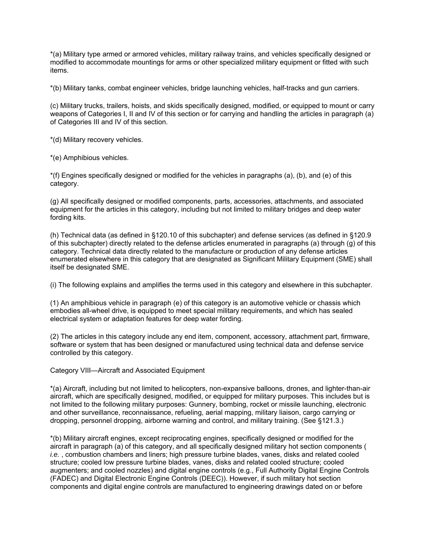\*(a) Military type armed or armored vehicles, military railway trains, and vehicles specifically designed or modified to accommodate mountings for arms or other specialized military equipment or fitted with such items.

\*(b) Military tanks, combat engineer vehicles, bridge launching vehicles, half-tracks and gun carriers.

(c) Military trucks, trailers, hoists, and skids specifically designed, modified, or equipped to mount or carry weapons of Categories I, II and IV of this section or for carrying and handling the articles in paragraph (a) of Categories III and IV of this section.

\*(d) Military recovery vehicles.

\*(e) Amphibious vehicles.

\*(f) Engines specifically designed or modified for the vehicles in paragraphs (a), (b), and (e) of this category.

(g) All specifically designed or modified components, parts, accessories, attachments, and associated equipment for the articles in this category, including but not limited to military bridges and deep water fording kits.

(h) Technical data (as defined in §120.10 of this subchapter) and defense services (as defined in §120.9 of this subchapter) directly related to the defense articles enumerated in paragraphs (a) through (g) of this category. Technical data directly related to the manufacture or production of any defense articles enumerated elsewhere in this category that are designated as Significant Military Equipment (SME) shall itself be designated SME.

(i) The following explains and amplifies the terms used in this category and elsewhere in this subchapter.

(1) An amphibious vehicle in paragraph (e) of this category is an automotive vehicle or chassis which embodies all-wheel drive, is equipped to meet special military requirements, and which has sealed electrical system or adaptation features for deep water fording.

(2) The articles in this category include any end item, component, accessory, attachment part, firmware, software or system that has been designed or manufactured using technical data and defense service controlled by this category.

Category VIII—Aircraft and Associated Equipment

\*(a) Aircraft, including but not limited to helicopters, non-expansive balloons, drones, and lighter-than-air aircraft, which are specifically designed, modified, or equipped for military purposes. This includes but is not limited to the following military purposes: Gunnery, bombing, rocket or missile launching, electronic and other surveillance, reconnaissance, refueling, aerial mapping, military liaison, cargo carrying or dropping, personnel dropping, airborne warning and control, and military training. (See §121.3.)

\*(b) Military aircraft engines, except reciprocating engines, specifically designed or modified for the aircraft in paragraph (a) of this category, and all specifically designed military hot section components ( *i.e.* , combustion chambers and liners; high pressure turbine blades, vanes, disks and related cooled structure; cooled low pressure turbine blades, vanes, disks and related cooled structure; cooled augmenters; and cooled nozzles) and digital engine controls (e.g., Full Authority Digital Engine Controls (FADEC) and Digital Electronic Engine Controls (DEEC)). However, if such military hot section components and digital engine controls are manufactured to engineering drawings dated on or before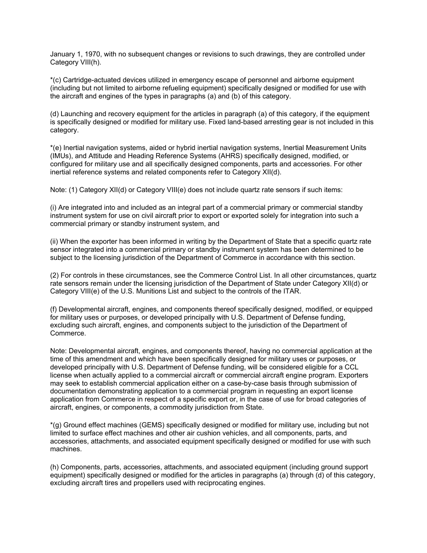January 1, 1970, with no subsequent changes or revisions to such drawings, they are controlled under Category VIII(h).

\*(c) Cartridge-actuated devices utilized in emergency escape of personnel and airborne equipment (including but not limited to airborne refueling equipment) specifically designed or modified for use with the aircraft and engines of the types in paragraphs (a) and (b) of this category.

(d) Launching and recovery equipment for the articles in paragraph (a) of this category, if the equipment is specifically designed or modified for military use. Fixed land-based arresting gear is not included in this category.

\*(e) Inertial navigation systems, aided or hybrid inertial navigation systems, Inertial Measurement Units (IMUs), and Attitude and Heading Reference Systems (AHRS) specifically designed, modified, or configured for military use and all specifically designed components, parts and accessories. For other inertial reference systems and related components refer to Category XII(d).

Note: (1) Category XII(d) or Category VIII(e) does not include quartz rate sensors if such items:

(i) Are integrated into and included as an integral part of a commercial primary or commercial standby instrument system for use on civil aircraft prior to export or exported solely for integration into such a commercial primary or standby instrument system, and

(ii) When the exporter has been informed in writing by the Department of State that a specific quartz rate sensor integrated into a commercial primary or standby instrument system has been determined to be subject to the licensing jurisdiction of the Department of Commerce in accordance with this section.

(2) For controls in these circumstances, see the Commerce Control List. In all other circumstances, quartz rate sensors remain under the licensing jurisdiction of the Department of State under Category XII(d) or Category VIII(e) of the U.S. Munitions List and subject to the controls of the ITAR.

(f) Developmental aircraft, engines, and components thereof specifically designed, modified, or equipped for military uses or purposes, or developed principally with U.S. Department of Defense funding, excluding such aircraft, engines, and components subject to the jurisdiction of the Department of Commerce.

Note: Developmental aircraft, engines, and components thereof, having no commercial application at the time of this amendment and which have been specifically designed for military uses or purposes, or developed principally with U.S. Department of Defense funding, will be considered eligible for a CCL license when actually applied to a commercial aircraft or commercial aircraft engine program. Exporters may seek to establish commercial application either on a case-by-case basis through submission of documentation demonstrating application to a commercial program in requesting an export license application from Commerce in respect of a specific export or, in the case of use for broad categories of aircraft, engines, or components, a commodity jurisdiction from State.

\*(g) Ground effect machines (GEMS) specifically designed or modified for military use, including but not limited to surface effect machines and other air cushion vehicles, and all components, parts, and accessories, attachments, and associated equipment specifically designed or modified for use with such machines.

(h) Components, parts, accessories, attachments, and associated equipment (including ground support equipment) specifically designed or modified for the articles in paragraphs (a) through (d) of this category, excluding aircraft tires and propellers used with reciprocating engines.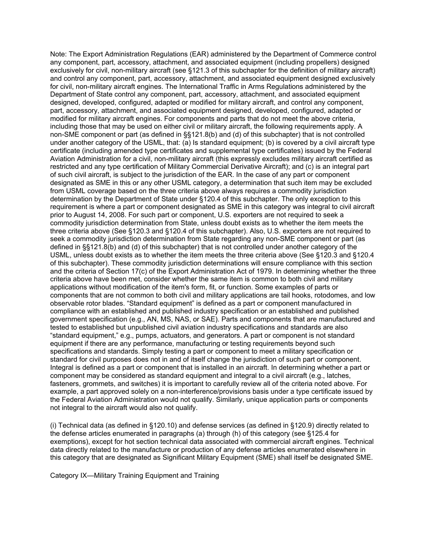Note: The Export Administration Regulations (EAR) administered by the Department of Commerce control any component, part, accessory, attachment, and associated equipment (including propellers) designed exclusively for civil, non-military aircraft (see §121.3 of this subchapter for the definition of military aircraft) and control any component, part, accessory, attachment, and associated equipment designed exclusively for civil, non-military aircraft engines. The International Traffic in Arms Regulations administered by the Department of State control any component, part, accessory, attachment, and associated equipment designed, developed, configured, adapted or modified for military aircraft, and control any component, part, accessory, attachment, and associated equipment designed, developed, configured, adapted or modified for military aircraft engines. For components and parts that do not meet the above criteria, including those that may be used on either civil or military aircraft, the following requirements apply. A non-SME component or part (as defined in §§121.8(b) and (d) of this subchapter) that is not controlled under another category of the USML, that: (a) Is standard equipment; (b) is covered by a civil aircraft type certificate (including amended type certificates and supplemental type certificates) issued by the Federal Aviation Administration for a civil, non-military aircraft (this expressly excludes military aircraft certified as restricted and any type certification of Military Commercial Derivative Aircraft); and (c) is an integral part of such civil aircraft, is subject to the jurisdiction of the EAR. In the case of any part or component designated as SME in this or any other USML category, a determination that such item may be excluded from USML coverage based on the three criteria above always requires a commodity jurisdiction determination by the Department of State under §120.4 of this subchapter. The only exception to this requirement is where a part or component designated as SME in this category was integral to civil aircraft prior to August 14, 2008. For such part or component, U.S. exporters are not required to seek a commodity jurisdiction determination from State, unless doubt exists as to whether the item meets the three criteria above (See §120.3 and §120.4 of this subchapter). Also, U.S. exporters are not required to seek a commodity jurisdiction determination from State regarding any non-SME component or part (as defined in §§121.8(b) and (d) of this subchapter) that is not controlled under another category of the USML, unless doubt exists as to whether the item meets the three criteria above (See §120.3 and §120.4 of this subchapter). These commodity jurisdiction determinations will ensure compliance with this section and the criteria of Section 17(c) of the Export Administration Act of 1979. In determining whether the three criteria above have been met, consider whether the same item is common to both civil and military applications without modification of the item's form, fit, or function. Some examples of parts or components that are not common to both civil and military applications are tail hooks, rotodomes, and low observable rotor blades. "Standard equipment" is defined as a part or component manufactured in compliance with an established and published industry specification or an established and published government specification (e.g., AN, MS, NAS, or SAE). Parts and components that are manufactured and tested to established but unpublished civil aviation industry specifications and standards are also "standard equipment," e.g., pumps, actuators, and generators. A part or component is not standard equipment if there are any performance, manufacturing or testing requirements beyond such specifications and standards. Simply testing a part or component to meet a military specification or standard for civil purposes does not in and of itself change the jurisdiction of such part or component. Integral is defined as a part or component that is installed in an aircraft. In determining whether a part or component may be considered as standard equipment and integral to a civil aircraft (e.g., latches, fasteners, grommets, and switches) it is important to carefully review all of the criteria noted above. For example, a part approved solely on a non-interference/provisions basis under a type certificate issued by the Federal Aviation Administration would not qualify. Similarly, unique application parts or components not integral to the aircraft would also not qualify.

(i) Technical data (as defined in §120.10) and defense services (as defined in §120.9) directly related to the defense articles enumerated in paragraphs (a) through (h) of this category (see §125.4 for exemptions), except for hot section technical data associated with commercial aircraft engines. Technical data directly related to the manufacture or production of any defense articles enumerated elsewhere in this category that are designated as Significant Military Equipment (SME) shall itself be designated SME.

Category IX—Military Training Equipment and Training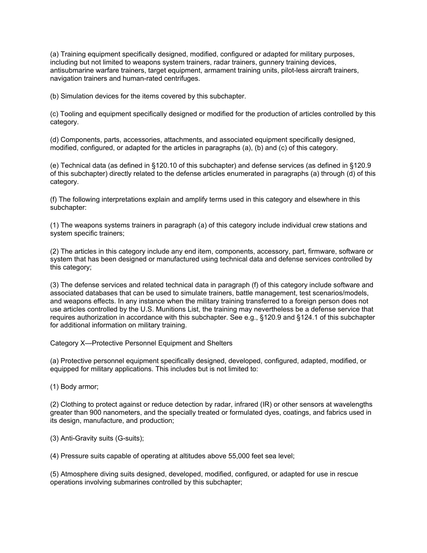(a) Training equipment specifically designed, modified, configured or adapted for military purposes, including but not limited to weapons system trainers, radar trainers, gunnery training devices, antisubmarine warfare trainers, target equipment, armament training units, pilot-less aircraft trainers, navigation trainers and human-rated centrifuges.

(b) Simulation devices for the items covered by this subchapter.

(c) Tooling and equipment specifically designed or modified for the production of articles controlled by this category.

(d) Components, parts, accessories, attachments, and associated equipment specifically designed, modified, configured, or adapted for the articles in paragraphs (a), (b) and (c) of this category.

(e) Technical data (as defined in §120.10 of this subchapter) and defense services (as defined in §120.9 of this subchapter) directly related to the defense articles enumerated in paragraphs (a) through (d) of this category.

(f) The following interpretations explain and amplify terms used in this category and elsewhere in this subchapter:

(1) The weapons systems trainers in paragraph (a) of this category include individual crew stations and system specific trainers;

(2) The articles in this category include any end item, components, accessory, part, firmware, software or system that has been designed or manufactured using technical data and defense services controlled by this category;

(3) The defense services and related technical data in paragraph (f) of this category include software and associated databases that can be used to simulate trainers, battle management, test scenarios/models, and weapons effects. In any instance when the military training transferred to a foreign person does not use articles controlled by the U.S. Munitions List, the training may nevertheless be a defense service that requires authorization in accordance with this subchapter. See e.g., §120.9 and §124.1 of this subchapter for additional information on military training.

Category X—Protective Personnel Equipment and Shelters

(a) Protective personnel equipment specifically designed, developed, configured, adapted, modified, or equipped for military applications. This includes but is not limited to:

(1) Body armor;

(2) Clothing to protect against or reduce detection by radar, infrared (IR) or other sensors at wavelengths greater than 900 nanometers, and the specially treated or formulated dyes, coatings, and fabrics used in its design, manufacture, and production;

(3) Anti-Gravity suits (G-suits);

(4) Pressure suits capable of operating at altitudes above 55,000 feet sea level;

(5) Atmosphere diving suits designed, developed, modified, configured, or adapted for use in rescue operations involving submarines controlled by this subchapter;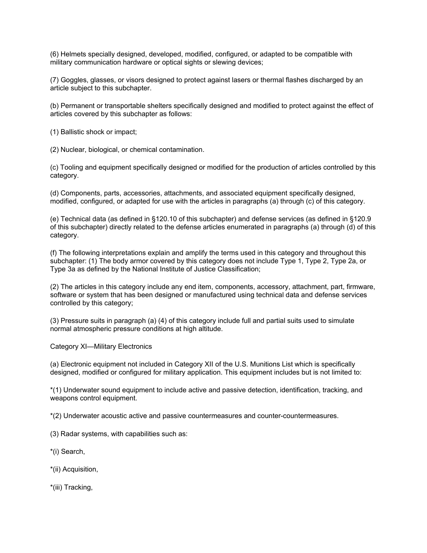(6) Helmets specially designed, developed, modified, configured, or adapted to be compatible with military communication hardware or optical sights or slewing devices;

(7) Goggles, glasses, or visors designed to protect against lasers or thermal flashes discharged by an article subject to this subchapter.

(b) Permanent or transportable shelters specifically designed and modified to protect against the effect of articles covered by this subchapter as follows:

(1) Ballistic shock or impact;

(2) Nuclear, biological, or chemical contamination.

(c) Tooling and equipment specifically designed or modified for the production of articles controlled by this category.

(d) Components, parts, accessories, attachments, and associated equipment specifically designed, modified, configured, or adapted for use with the articles in paragraphs (a) through (c) of this category.

(e) Technical data (as defined in §120.10 of this subchapter) and defense services (as defined in §120.9 of this subchapter) directly related to the defense articles enumerated in paragraphs (a) through (d) of this category.

(f) The following interpretations explain and amplify the terms used in this category and throughout this subchapter: (1) The body armor covered by this category does not include Type 1, Type 2, Type 2a, or Type 3a as defined by the National Institute of Justice Classification;

(2) The articles in this category include any end item, components, accessory, attachment, part, firmware, software or system that has been designed or manufactured using technical data and defense services controlled by this category;

(3) Pressure suits in paragraph (a) (4) of this category include full and partial suits used to simulate normal atmospheric pressure conditions at high altitude.

Category XI—Military Electronics

(a) Electronic equipment not included in Category XII of the U.S. Munitions List which is specifically designed, modified or configured for military application. This equipment includes but is not limited to:

\*(1) Underwater sound equipment to include active and passive detection, identification, tracking, and weapons control equipment.

\*(2) Underwater acoustic active and passive countermeasures and counter-countermeasures.

(3) Radar systems, with capabilities such as:

\*(i) Search,

\*(ii) Acquisition,

\*(iii) Tracking,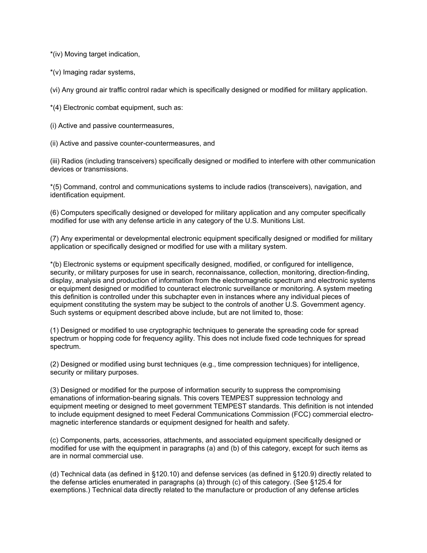\*(iv) Moving target indication,

\*(v) Imaging radar systems,

(vi) Any ground air traffic control radar which is specifically designed or modified for military application.

\*(4) Electronic combat equipment, such as:

(i) Active and passive countermeasures,

(ii) Active and passive counter-countermeasures, and

(iii) Radios (including transceivers) specifically designed or modified to interfere with other communication devices or transmissions.

\*(5) Command, control and communications systems to include radios (transceivers), navigation, and identification equipment.

(6) Computers specifically designed or developed for military application and any computer specifically modified for use with any defense article in any category of the U.S. Munitions List.

(7) Any experimental or developmental electronic equipment specifically designed or modified for military application or specifically designed or modified for use with a military system.

\*(b) Electronic systems or equipment specifically designed, modified, or configured for intelligence, security, or military purposes for use in search, reconnaissance, collection, monitoring, direction-finding, display, analysis and production of information from the electromagnetic spectrum and electronic systems or equipment designed or modified to counteract electronic surveillance or monitoring. A system meeting this definition is controlled under this subchapter even in instances where any individual pieces of equipment constituting the system may be subject to the controls of another U.S. Government agency. Such systems or equipment described above include, but are not limited to, those:

(1) Designed or modified to use cryptographic techniques to generate the spreading code for spread spectrum or hopping code for frequency agility. This does not include fixed code techniques for spread spectrum.

(2) Designed or modified using burst techniques (e.g., time compression techniques) for intelligence, security or military purposes.

(3) Designed or modified for the purpose of information security to suppress the compromising emanations of information-bearing signals. This covers TEMPEST suppression technology and equipment meeting or designed to meet government TEMPEST standards. This definition is not intended to include equipment designed to meet Federal Communications Commission (FCC) commercial electromagnetic interference standards or equipment designed for health and safety.

(c) Components, parts, accessories, attachments, and associated equipment specifically designed or modified for use with the equipment in paragraphs (a) and (b) of this category, except for such items as are in normal commercial use.

(d) Technical data (as defined in §120.10) and defense services (as defined in §120.9) directly related to the defense articles enumerated in paragraphs (a) through (c) of this category. (See §125.4 for exemptions.) Technical data directly related to the manufacture or production of any defense articles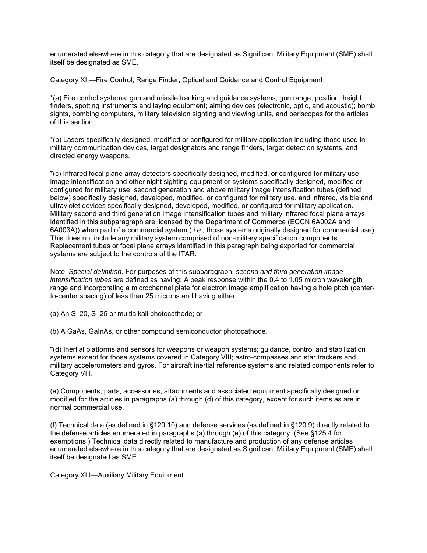enumerated elsewhere in this category that are designated as Significant Military Equipment (SME) shall itself be designated as SME.

Category XII—Fire Control, Range Finder, Optical and Guidance and Control Equipment

\*(a) Fire control systems; gun and missile tracking and guidance systems; gun range, position, height finders, spotting instruments and laying equipment; aiming devices (electronic, optic, and acoustic); bomb sights, bombing computers, military television sighting and viewing units, and periscopes for the articles of this section.

\*(b) Lasers specifically designed, modified or configured for military application including those used in military communication devices, target designators and range finders, target detection systems, and directed energy weapons.

\*(c) Infrared focal plane array detectors specifically designed, modified, or configured for military use; image intensification and other night sighting equipment or systems specifically designed, modified or configured for military use; second generation and above military image intensification tubes (defined below) specifically designed, developed, modified, or configured for military use, and infrared, visible and ultraviolet devices specifically designed, developed, modified, or configured for military application. Military second and third generation image intensification tubes and military infrared focal plane arrays identified in this subparagraph are licensed by the Department of Commerce (ECCN 6A002A and 6A003A)) when part of a commercial system ( *i.e.,* those systems originally designed for commercial use). This does not include any military system comprised of non-military specification components. Replacement tubes or focal plane arrays identified in this paragraph being exported for commercial systems are subject to the controls of the ITAR.

Note: *Special definition.* For purposes of this subparagraph, *second and third generation image intensification tubes* are defined as having: A peak response within the 0.4 to 1.05 micron wavelength range and incorporating a microchannel plate for electron image amplification having a hole pitch (centerto-center spacing) of less than 25 microns and having either:

(a) An S–20, S–25 or multialkali photocathode; or

(b) A GaAs, GaInAs, or other compound semiconductor photocathode.

\*(d) Inertial platforms and sensors for weapons or weapon systems; guidance, control and stabilization systems except for those systems covered in Category VIII; astro-compasses and star trackers and military accelerometers and gyros. For aircraft inertial reference systems and related components refer to Category VIII.

(e) Components, parts, accessories, attachments and associated equipment specifically designed or modified for the articles in paragraphs (a) through (d) of this category, except for such items as are in normal commercial use.

(f) Technical data (as defined in §120.10) and defense services (as defined in §120.9) directly related to the defense articles enumerated in paragraphs (a) through (e) of this category. (See §125.4 for exemptions.) Technical data directly related to manufacture and production of any defense articles enumerated elsewhere in this category that are designated as Significant Military Equipment (SME) shall itself be designated as SME.

Category XIII—Auxiliary Military Equipment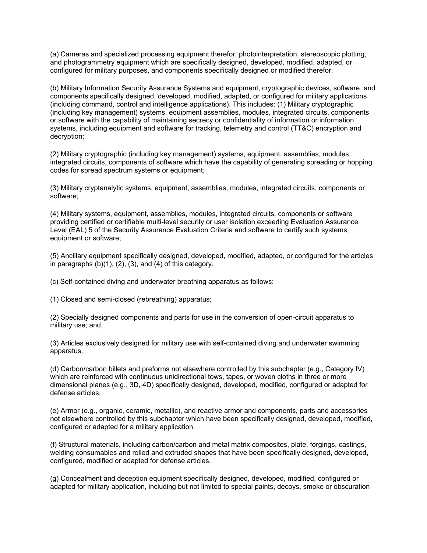(a) Cameras and specialized processing equipment therefor, photointerpretation, stereoscopic plotting, and photogrammetry equipment which are specifically designed, developed, modified, adapted, or configured for military purposes, and components specifically designed or modified therefor;

(b) Military Information Security Assurance Systems and equipment, cryptographic devices, software, and components specifically designed, developed, modified, adapted, or configured for military applications (including command, control and intelligence applications). This includes: (1) Military cryptographic (including key management) systems, equipment assemblies, modules, integrated circuits, components or software with the capability of maintaining secrecy or confidentiality of information or information systems, including equipment and software for tracking, telemetry and control (TT&C) encryption and decryption;

(2) Military cryptographic (including key management) systems, equipment, assemblies, modules, integrated circuits, components of software which have the capability of generating spreading or hopping codes for spread spectrum systems or equipment;

(3) Military cryptanalytic systems, equipment, assemblies, modules, integrated circuits, components or software;

(4) Military systems, equipment, assemblies, modules, integrated circuits, components or software providing certified or certifiable multi-level security or user isolation exceeding Evaluation Assurance Level (EAL) 5 of the Security Assurance Evaluation Criteria and software to certify such systems, equipment or software;

(5) Ancillary equipment specifically designed, developed, modified, adapted, or configured for the articles in paragraphs  $(b)(1)$ ,  $(2)$ ,  $(3)$ , and  $(4)$  of this category.

(c) Self-contained diving and underwater breathing apparatus as follows:

(1) Closed and semi-closed (rebreathing) apparatus;

(2) Specially designed components and parts for use in the conversion of open-circuit apparatus to military use; and,

(3) Articles exclusively designed for military use with self-contained diving and underwater swimming apparatus.

(d) Carbon/carbon billets and preforms not elsewhere controlled by this subchapter (e.g., Category IV) which are reinforced with continuous unidirectional tows, tapes, or woven cloths in three or more dimensional planes (e.g., 3D, 4D) specifically designed, developed, modified, configured or adapted for defense articles.

(e) Armor (e.g., organic, ceramic, metallic), and reactive armor and components, parts and accessories not elsewhere controlled by this subchapter which have been specifically designed, developed, modified, configured or adapted for a military application.

(f) Structural materials, including carbon/carbon and metal matrix composites, plate, forgings, castings, welding consumables and rolled and extruded shapes that have been specifically designed, developed, configured, modified or adapted for defense articles.

(g) Concealment and deception equipment specifically designed, developed, modified, configured or adapted for military application, including but not limited to special paints, decoys, smoke or obscuration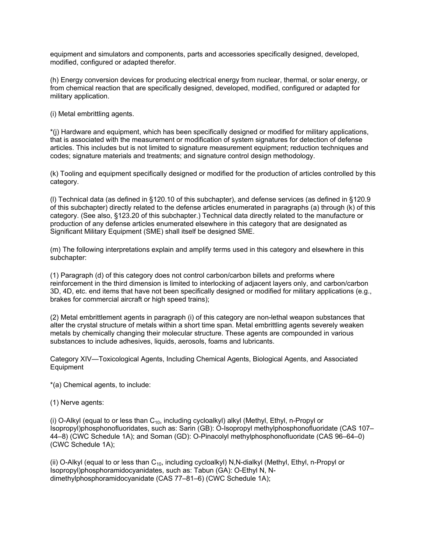equipment and simulators and components, parts and accessories specifically designed, developed, modified, configured or adapted therefor.

(h) Energy conversion devices for producing electrical energy from nuclear, thermal, or solar energy, or from chemical reaction that are specifically designed, developed, modified, configured or adapted for military application.

(i) Metal embrittling agents.

\*(j) Hardware and equipment, which has been specifically designed or modified for military applications, that is associated with the measurement or modification of system signatures for detection of defense articles. This includes but is not limited to signature measurement equipment; reduction techniques and codes; signature materials and treatments; and signature control design methodology.

(k) Tooling and equipment specifically designed or modified for the production of articles controlled by this category.

(l) Technical data (as defined in §120.10 of this subchapter), and defense services (as defined in §120.9 of this subchapter) directly related to the defense articles enumerated in paragraphs (a) through (k) of this category. (See also, §123.20 of this subchapter.) Technical data directly related to the manufacture or production of any defense articles enumerated elsewhere in this category that are designated as Significant Military Equipment (SME) shall itself be designed SME.

(m) The following interpretations explain and amplify terms used in this category and elsewhere in this subchapter:

(1) Paragraph (d) of this category does not control carbon/carbon billets and preforms where reinforcement in the third dimension is limited to interlocking of adjacent layers only, and carbon/carbon 3D, 4D, etc. end items that have not been specifically designed or modified for military applications (e.g., brakes for commercial aircraft or high speed trains);

(2) Metal embrittlement agents in paragraph (i) of this category are non-lethal weapon substances that alter the crystal structure of metals within a short time span. Metal embrittling agents severely weaken metals by chemically changing their molecular structure. These agents are compounded in various substances to include adhesives, liquids, aerosols, foams and lubricants.

Category XIV—Toxicological Agents, Including Chemical Agents, Biological Agents, and Associated Equipment

\*(a) Chemical agents, to include:

(1) Nerve agents:

(i) O-Alkyl (equal to or less than  $C_{10}$ , including cycloalkyl) alkyl (Methyl, Ethyl, n-Propyl or Isopropyl)phosphonofluoridates, such as: Sarin (GB): O-Isopropyl methylphosphonofluoridate (CAS 107– 44–8) (CWC Schedule 1A); and Soman (GD): O-Pinacolyl methylphosphonofluoridate (CAS 96–64–0) (CWC Schedule 1A);

(ii) O-Alkyl (equal to or less than  $C_{10}$ , including cycloalkyl) N,N-dialkyl (Methyl, Ethyl, n-Propyl or Isopropyl)phosphoramidocyanidates, such as: Tabun (GA): O-Ethyl N, Ndimethylphosphoramidocyanidate (CAS 77–81–6) (CWC Schedule 1A);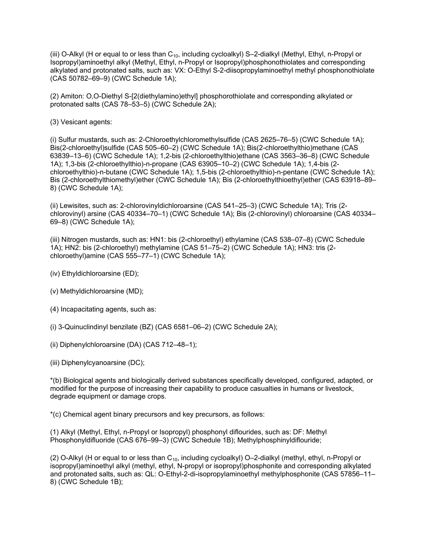(iii) O-Alkyl (H or equal to or less than  $C_{10}$ , including cycloalkyl) S-2-dialkyl (Methyl, Ethyl, n-Propyl or Isopropyl)aminoethyl alkyl (Methyl, Ethyl, n-Propyl or Isopropyl)phosphonothiolates and corresponding alkylated and protonated salts, such as: VX: O-Ethyl S-2-diisopropylaminoethyl methyl phosphonothiolate (CAS 50782–69–9) (CWC Schedule 1A);

(2) Amiton: O,O-Diethyl S-[2(diethylamino)ethyl] phosphorothiolate and corresponding alkylated or protonated salts (CAS 78–53–5) (CWC Schedule 2A);

(3) Vesicant agents:

(i) Sulfur mustards, such as: 2-Chloroethylchloromethylsulfide (CAS 2625–76–5) (CWC Schedule 1A); Bis(2-chloroethyl)sulfide (CAS 505–60–2) (CWC Schedule 1A); Bis(2-chloroethylthio)methane (CAS 63839–13–6) (CWC Schedule 1A); 1,2-bis (2-chloroethylthio)ethane (CAS 3563–36–8) (CWC Schedule 1A); 1,3-bis (2-chloroethylthio)-n-propane (CAS 63905–10–2) (CWC Schedule 1A); 1,4-bis (2 chloroethylthio)-n-butane (CWC Schedule 1A); 1,5-bis (2-chloroethylthio)-n-pentane (CWC Schedule 1A); Bis (2-chloroethylthiomethyl)ether (CWC Schedule 1A); Bis (2-chloroethylthioethyl)ether (CAS 63918–89– 8) (CWC Schedule 1A);

(ii) Lewisites, such as: 2-chlorovinyldichloroarsine (CAS 541–25–3) (CWC Schedule 1A); Tris (2 chlorovinyl) arsine (CAS 40334–70–1) (CWC Schedule 1A); Bis (2-chlorovinyl) chloroarsine (CAS 40334– 69–8) (CWC Schedule 1A);

(iii) Nitrogen mustards, such as: HN1: bis (2-chloroethyl) ethylamine (CAS 538–07–8) (CWC Schedule 1A); HN2: bis (2-chloroethyl) methylamine (CAS 51–75–2) (CWC Schedule 1A); HN3: tris (2 chloroethyl)amine (CAS 555–77–1) (CWC Schedule 1A);

- (iv) Ethyldichloroarsine (ED);
- (v) Methyldichloroarsine (MD);
- (4) Incapacitating agents, such as:
- (i) 3-Quinuclindinyl benzilate (BZ) (CAS 6581–06–2) (CWC Schedule 2A);
- (ii) Diphenylchloroarsine (DA) (CAS 712–48–1);

(iii) Diphenylcyanoarsine (DC);

\*(b) Biological agents and biologically derived substances specifically developed, configured, adapted, or modified for the purpose of increasing their capability to produce casualties in humans or livestock, degrade equipment or damage crops.

\*(c) Chemical agent binary precursors and key precursors, as follows:

(1) Alkyl (Methyl, Ethyl, n-Propyl or Isopropyl) phosphonyl diflourides, such as: DF: Methyl Phosphonyldifluoride (CAS 676–99–3) (CWC Schedule 1B); Methylphosphinyldiflouride;

(2) O-Alkyl (H or equal to or less than C10, including cycloalkyl) O–2-dialkyl (methyl, ethyl, n-Propyl or isopropyl)aminoethyl alkyl (methyl, ethyl, N-propyl or isopropyl)phosphonite and corresponding alkylated and protonated salts, such as: QL: O-Ethyl-2-di-isopropylaminoethyl methylphosphonite (CAS 57856–11– 8) (CWC Schedule 1B);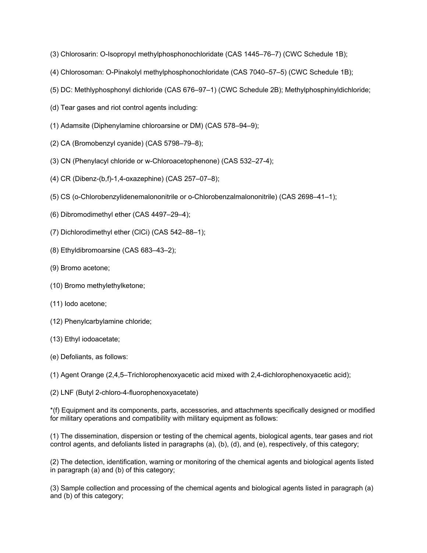- (3) Chlorosarin: O-Isopropyl methylphosphonochloridate (CAS 1445–76–7) (CWC Schedule 1B);
- (4) Chlorosoman: O-Pinakolyl methylphosphonochloridate (CAS 7040–57–5) (CWC Schedule 1B);
- (5) DC: Methlyphosphonyl dichloride (CAS 676–97–1) (CWC Schedule 2B); Methylphosphinyldichloride;
- (d) Tear gases and riot control agents including:
- (1) Adamsite (Diphenylamine chloroarsine or DM) (CAS 578–94–9);
- (2) CA (Bromobenzyl cyanide) (CAS 5798–79–8);
- (3) CN (Phenylacyl chloride or w-Chloroacetophenone) (CAS 532–27-4);
- (4) CR (Dibenz-(b,f)-1,4-oxazephine) (CAS 257–07–8);
- (5) CS (o-Chlorobenzylidenemalononitrile or o-Chlorobenzalmalononitrile) (CAS 2698–41–1);
- (6) Dibromodimethyl ether (CAS 4497–29–4);
- (7) Dichlorodimethyl ether (ClCi) (CAS 542–88–1);
- (8) Ethyldibromoarsine (CAS 683–43–2);
- (9) Bromo acetone;
- (10) Bromo methylethylketone;
- (11) Iodo acetone;
- (12) Phenylcarbylamine chloride;
- (13) Ethyl iodoacetate;
- (e) Defoliants, as follows:
- (1) Agent Orange (2,4,5–Trichlorophenoxyacetic acid mixed with 2,4-dichlorophenoxyacetic acid);
- (2) LNF (Butyl 2-chloro-4-fluorophenoxyacetate)

\*(f) Equipment and its components, parts, accessories, and attachments specifically designed or modified for military operations and compatibility with military equipment as follows:

(1) The dissemination, dispersion or testing of the chemical agents, biological agents, tear gases and riot control agents, and defoliants listed in paragraphs (a), (b), (d), and (e), respectively, of this category;

(2) The detection, identification, warning or monitoring of the chemical agents and biological agents listed in paragraph (a) and (b) of this category;

(3) Sample collection and processing of the chemical agents and biological agents listed in paragraph (a) and (b) of this category;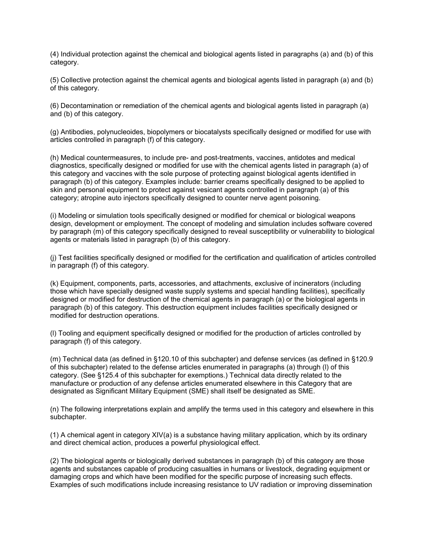(4) Individual protection against the chemical and biological agents listed in paragraphs (a) and (b) of this category.

(5) Collective protection against the chemical agents and biological agents listed in paragraph (a) and (b) of this category.

(6) Decontamination or remediation of the chemical agents and biological agents listed in paragraph (a) and (b) of this category.

(g) Antibodies, polynucleoides, biopolymers or biocatalysts specifically designed or modified for use with articles controlled in paragraph (f) of this category.

(h) Medical countermeasures, to include pre- and post-treatments, vaccines, antidotes and medical diagnostics, specifically designed or modified for use with the chemical agents listed in paragraph (a) of this category and vaccines with the sole purpose of protecting against biological agents identified in paragraph (b) of this category. Examples include: barrier creams specifically designed to be applied to skin and personal equipment to protect against vesicant agents controlled in paragraph (a) of this category; atropine auto injectors specifically designed to counter nerve agent poisoning.

(i) Modeling or simulation tools specifically designed or modified for chemical or biological weapons design, development or employment. The concept of modeling and simulation includes software covered by paragraph (m) of this category specifically designed to reveal susceptibility or vulnerability to biological agents or materials listed in paragraph (b) of this category.

(j) Test facilities specifically designed or modified for the certification and qualification of articles controlled in paragraph (f) of this category.

(k) Equipment, components, parts, accessories, and attachments, exclusive of incinerators (including those which have specially designed waste supply systems and special handling facilities), specifically designed or modified for destruction of the chemical agents in paragraph (a) or the biological agents in paragraph (b) of this category. This destruction equipment includes facilities specifically designed or modified for destruction operations.

(l) Tooling and equipment specifically designed or modified for the production of articles controlled by paragraph (f) of this category.

(m) Technical data (as defined in §120.10 of this subchapter) and defense services (as defined in §120.9 of this subchapter) related to the defense articles enumerated in paragraphs (a) through (l) of this category. (See §125.4 of this subchapter for exemptions.) Technical data directly related to the manufacture or production of any defense articles enumerated elsewhere in this Category that are designated as Significant Military Equipment (SME) shall itself be designated as SME.

(n) The following interpretations explain and amplify the terms used in this category and elsewhere in this subchapter.

(1) A chemical agent in category XIV(a) is a substance having military application, which by its ordinary and direct chemical action, produces a powerful physiological effect.

(2) The biological agents or biologically derived substances in paragraph (b) of this category are those agents and substances capable of producing casualties in humans or livestock, degrading equipment or damaging crops and which have been modified for the specific purpose of increasing such effects. Examples of such modifications include increasing resistance to UV radiation or improving dissemination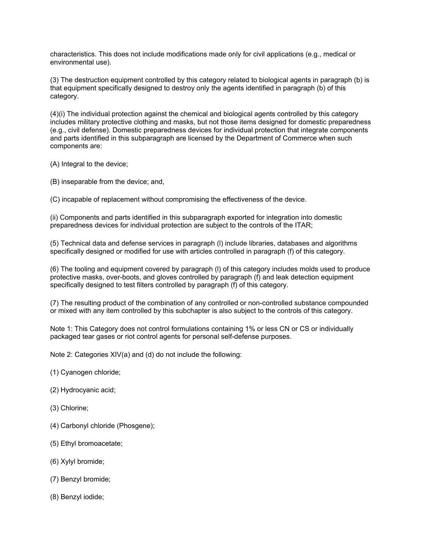characteristics. This does not include modifications made only for civil applications (e.g., medical or environmental use).

(3) The destruction equipment controlled by this category related to biological agents in paragraph (b) is that equipment specifically designed to destroy only the agents identified in paragraph (b) of this category.

(4)(i) The individual protection against the chemical and biological agents controlled by this category includes military protective clothing and masks, but not those items designed for domestic preparedness (e.g., civil defense). Domestic preparedness devices for individual protection that integrate components and parts identified in this subparagraph are licensed by the Department of Commerce when such components are:

(A) Integral to the device;

(B) inseparable from the device; and,

(C) incapable of replacement without compromising the effectiveness of the device.

(ii) Components and parts identified in this subparagraph exported for integration into domestic preparedness devices for individual protection are subject to the controls of the ITAR;

(5) Technical data and defense services in paragraph (l) include libraries, databases and algorithms specifically designed or modified for use with articles controlled in paragraph (f) of this category.

(6) The tooling and equipment covered by paragraph (l) of this category includes molds used to produce protective masks, over-boots, and gloves controlled by paragraph (f) and leak detection equipment specifically designed to test filters controlled by paragraph (f) of this category.

(7) The resulting product of the combination of any controlled or non-controlled substance compounded or mixed with any item controlled by this subchapter is also subject to the controls of this category.

Note 1: This Category does not control formulations containing 1% or less CN or CS or individually packaged tear gases or riot control agents for personal self-defense purposes.

Note 2: Categories XIV(a) and (d) do not include the following:

- (1) Cyanogen chloride;
- (2) Hydrocyanic acid;
- (3) Chlorine;
- (4) Carbonyl chloride (Phosgene);
- (5) Ethyl bromoacetate;
- (6) Xylyl bromide;
- (7) Benzyl bromide;
- (8) Benzyl iodide;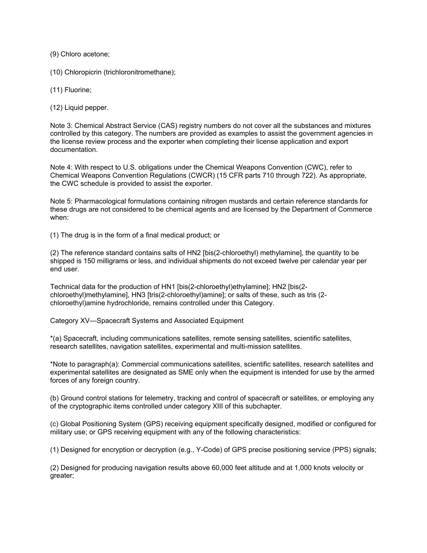(9) Chloro acetone;

(10) Chloropicrin (trichloronitromethane);

(11) Fluorine;

(12) Liquid pepper.

Note 3: Chemical Abstract Service (CAS) registry numbers do not cover all the substances and mixtures controlled by this category. The numbers are provided as examples to assist the government agencies in the license review process and the exporter when completing their license application and export documentation.

Note 4: With respect to U.S. obligations under the Chemical Weapons Convention (CWC), refer to Chemical Weapons Convention Regulations (CWCR) (15 CFR parts 710 through 722). As appropriate, the CWC schedule is provided to assist the exporter.

Note 5: Pharmacological formulations containing nitrogen mustards and certain reference standards for these drugs are not considered to be chemical agents and are licensed by the Department of Commerce when:

(1) The drug is in the form of a final medical product; or

(2) The reference standard contains salts of HN2 [bis(2-chloroethyl) methylamine], the quantity to be shipped is 150 milligrams or less, and individual shipments do not exceed twelve per calendar year per end user.

Technical data for the production of HN1 [bis(2-chloroethyl)ethylamine]; HN2 [bis(2 chloroethyl)methylamine], HN3 [tris(2-chloroethyl)amine]; or salts of these, such as tris (2 chloroethyl)amine hydrochloride, remains controlled under this Category.

Category XV—Spacecraft Systems and Associated Equipment

\*(a) Spacecraft, including communications satellites, remote sensing satellites, scientific satellites, research satellites, navigation satellites, experimental and multi-mission satellites.

\*Note to paragraph(a): Commercial communications satellites, scientific satellites, research satellites and experimental satellites are designated as SME only when the equipment is intended for use by the armed forces of any foreign country.

(b) Ground control stations for telemetry, tracking and control of spacecraft or satellites, or employing any of the cryptographic items controlled under category XIII of this subchapter.

(c) Global Positioning System (GPS) receiving equipment specifically designed, modified or configured for military use; or GPS receiving equipment with any of the following characteristics:

(1) Designed for encryption or decryption (e.g., Y-Code) of GPS precise positioning service (PPS) signals;

(2) Designed for producing navigation results above 60,000 feet altitude and at 1,000 knots velocity or greater;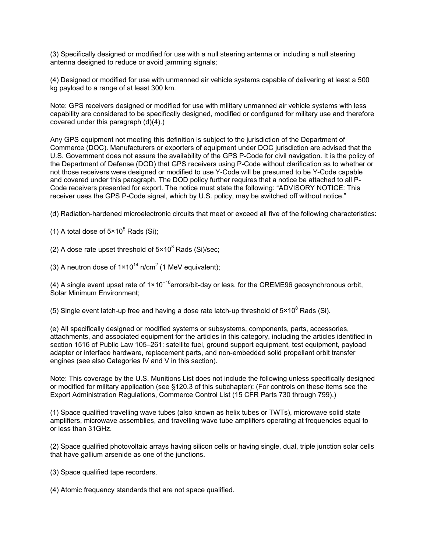(3) Specifically designed or modified for use with a null steering antenna or including a null steering antenna designed to reduce or avoid jamming signals;

(4) Designed or modified for use with unmanned air vehicle systems capable of delivering at least a 500 kg payload to a range of at least 300 km.

Note: GPS receivers designed or modified for use with military unmanned air vehicle systems with less capability are considered to be specifically designed, modified or configured for military use and therefore covered under this paragraph (d)(4).)

Any GPS equipment not meeting this definition is subject to the jurisdiction of the Department of Commerce (DOC). Manufacturers or exporters of equipment under DOC jurisdiction are advised that the U.S. Government does not assure the availability of the GPS P-Code for civil navigation. It is the policy of the Department of Defense (DOD) that GPS receivers using P-Code without clarification as to whether or not those receivers were designed or modified to use Y-Code will be presumed to be Y-Code capable and covered under this paragraph. The DOD policy further requires that a notice be attached to all P-Code receivers presented for export. The notice must state the following: "ADVISORY NOTICE: This receiver uses the GPS P-Code signal, which by U.S. policy, may be switched off without notice."

(d) Radiation-hardened microelectronic circuits that meet or exceed all five of the following characteristics:

(1) A total dose of  $5 \times 10^5$  Rads (Si);

(2) A dose rate upset threshold of  $5 \times 10^8$  Rads (Si)/sec;

(3) A neutron dose of  $1 \times 10^{14}$  n/cm<sup>2</sup> (1 MeV equivalent);

(4) A single event upset rate of 1×10<sup>-10</sup>errors/bit-day or less, for the CREME96 geosynchronous orbit, Solar Minimum Environment;

(5) Single event latch-up free and having a dose rate latch-up threshold of  $5 \times 10^8$  Rads (Si).

(e) All specifically designed or modified systems or subsystems, components, parts, accessories, attachments, and associated equipment for the articles in this category, including the articles identified in section 1516 of Public Law 105–261: satellite fuel, ground support equipment, test equipment, payload adapter or interface hardware, replacement parts, and non-embedded solid propellant orbit transfer engines (see also Categories IV and V in this section).

Note: This coverage by the U.S. Munitions List does not include the following unless specifically designed or modified for military application (see §120.3 of this subchapter): (For controls on these items see the Export Administration Regulations, Commerce Control List (15 CFR Parts 730 through 799).)

(1) Space qualified travelling wave tubes (also known as helix tubes or TWTs), microwave solid state amplifiers, microwave assemblies, and travelling wave tube amplifiers operating at frequencies equal to or less than 31GHz.

(2) Space qualified photovoltaic arrays having silicon cells or having single, dual, triple junction solar cells that have gallium arsenide as one of the junctions.

(3) Space qualified tape recorders.

(4) Atomic frequency standards that are not space qualified.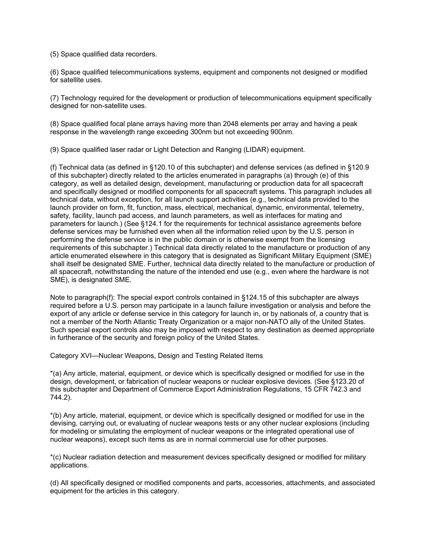(5) Space qualified data recorders.

(6) Space qualified telecommunications systems, equipment and components not designed or modified for satellite uses.

(7) Technology required for the development or production of telecommunications equipment specifically designed for non-satellite uses.

(8) Space qualified focal plane arrays having more than 2048 elements per array and having a peak response in the wavelength range exceeding 300nm but not exceeding 900nm.

(9) Space qualified laser radar or Light Detection and Ranging (LIDAR) equipment.

(f) Technical data (as defined in §120.10 of this subchapter) and defense services (as defined in §120.9 of this subchapter) directly related to the articles enumerated in paragraphs (a) through (e) of this category, as well as detailed design, development, manufacturing or production data for all spacecraft and specifically designed or modified components for all spacecraft systems. This paragraph includes all technical data, without exception, for all launch support activities (e.g., technical data provided to the launch provider on form, fit, function, mass, electrical, mechanical, dynamic, environmental, telemetry, safety, facility, launch pad access, and launch parameters, as well as interfaces for mating and parameters for launch.) (See §124.1 for the requirements for technical assistance agreements before defense services may be furnished even when all the information relied upon by the U.S. person in performing the defense service is in the public domain or is otherwise exempt from the licensing requirements of this subchapter.) Technical data directly related to the manufacture or production of any article enumerated elsewhere in this category that is designated as Significant Military Equipment (SME) shall itself be designated SME. Further, technical data directly related to the manufacture or production of all spacecraft, notwithstanding the nature of the intended end use (e.g., even where the hardware is not SME), is designated SME.

Note to paragraph(f): The special export controls contained in §124.15 of this subchapter are always required before a U.S. person may participate in a launch failure investigation or analysis and before the export of any article or defense service in this category for launch in, or by nationals of, a country that is not a member of the North Atlantic Treaty Organization or a major non-NATO ally of the United States. Such special export controls also may be imposed with respect to any destination as deemed appropriate in furtherance of the security and foreign policy of the United States.

Category XVI—Nuclear Weapons, Design and Testing Related Items

\*(a) Any article, material, equipment, or device which is specifically designed or modified for use in the design, development, or fabrication of nuclear weapons or nuclear explosive devices. (See §123.20 of this subchapter and Department of Commerce Export Administration Regulations, 15 CFR 742.3 and 744.2).

\*(b) Any article, material, equipment, or device which is specifically designed or modified for use in the devising, carrying out, or evaluating of nuclear weapons tests or any other nuclear explosions (including for modeling or simulating the employment of nuclear weapons or the integrated operational use of nuclear weapons), except such items as are in normal commercial use for other purposes.

\*(c) Nuclear radiation detection and measurement devices specifically designed or modified for military applications.

(d) All specifically designed or modified components and parts, accessories, attachments, and associated equipment for the articles in this category.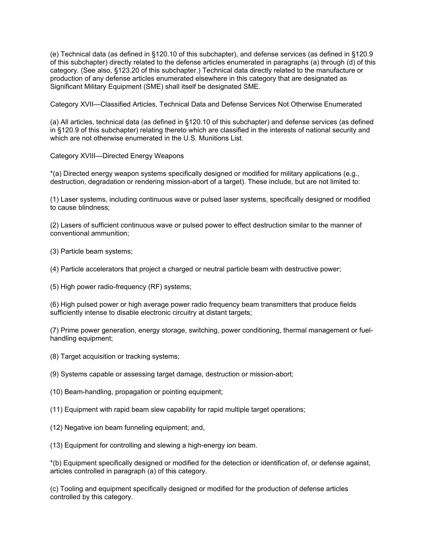(e) Technical data (as defined in §120.10 of this subchapter), and defense services (as defined in §120.9 of this subchapter) directly related to the defense articles enumerated in paragraphs (a) through (d) of this category. (See also, §123.20 of this subchapter.) Technical data directly related to the manufacture or production of any defense articles enumerated elsewhere in this category that are designated as Significant Military Equipment (SME) shall itself be designated SME.

Category XVII—Classified Articles, Technical Data and Defense Services Not Otherwise Enumerated

(a) All articles, technical data (as defined in §120.10 of this subchapter) and defense services (as defined in §120.9 of this subchapter) relating thereto which are classified in the interests of national security and which are not otherwise enumerated in the U.S. Munitions List.

Category XVIII—Directed Energy Weapons

\*(a) Directed energy weapon systems specifically designed or modified for military applications (e.g., destruction, degradation or rendering mission-abort of a target). These include, but are not limited to:

(1) Laser systems, including continuous wave or pulsed laser systems, specifically designed or modified to cause blindness;

(2) Lasers of sufficient continuous wave or pulsed power to effect destruction similar to the manner of conventional ammunition;

(3) Particle beam systems;

(4) Particle accelerators that project a charged or neutral particle beam with destructive power;

(5) High power radio-frequency (RF) systems;

(6) High pulsed power or high average power radio frequency beam transmitters that produce fields sufficiently intense to disable electronic circuitry at distant targets;

(7) Prime power generation, energy storage, switching, power conditioning, thermal management or fuelhandling equipment;

(8) Target acquisition or tracking systems;

(9) Systems capable or assessing target damage, destruction or mission-abort;

- (10) Beam-handling, propagation or pointing equipment;
- (11) Equipment with rapid beam slew capability for rapid multiple target operations;
- (12) Negative ion beam funneling equipment; and,
- (13) Equipment for controlling and slewing a high-energy ion beam.

\*(b) Equipment specifically designed or modified for the detection or identification of, or defense against, articles controlled in paragraph (a) of this category.

(c) Tooling and equipment specifically designed or modified for the production of defense articles controlled by this category.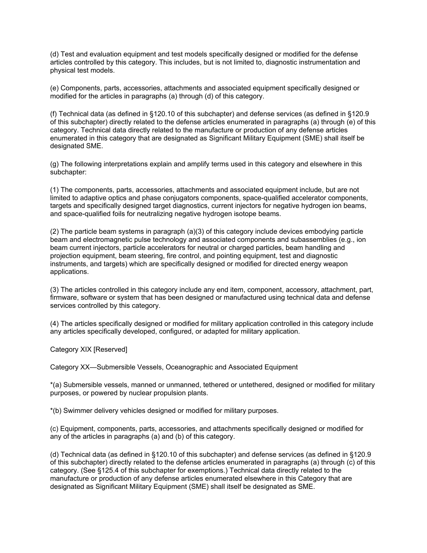(d) Test and evaluation equipment and test models specifically designed or modified for the defense articles controlled by this category. This includes, but is not limited to, diagnostic instrumentation and physical test models.

(e) Components, parts, accessories, attachments and associated equipment specifically designed or modified for the articles in paragraphs (a) through (d) of this category.

(f) Technical data (as defined in §120.10 of this subchapter) and defense services (as defined in §120.9 of this subchapter) directly related to the defense articles enumerated in paragraphs (a) through (e) of this category. Technical data directly related to the manufacture or production of any defense articles enumerated in this category that are designated as Significant Military Equipment (SME) shall itself be designated SME.

(g) The following interpretations explain and amplify terms used in this category and elsewhere in this subchapter:

(1) The components, parts, accessories, attachments and associated equipment include, but are not limited to adaptive optics and phase conjugators components, space-qualified accelerator components, targets and specifically designed target diagnostics, current injectors for negative hydrogen ion beams, and space-qualified foils for neutralizing negative hydrogen isotope beams.

(2) The particle beam systems in paragraph (a)(3) of this category include devices embodying particle beam and electromagnetic pulse technology and associated components and subassemblies (e.g., ion beam current injectors, particle accelerators for neutral or charged particles, beam handling and projection equipment, beam steering, fire control, and pointing equipment, test and diagnostic instruments, and targets) which are specifically designed or modified for directed energy weapon applications.

(3) The articles controlled in this category include any end item, component, accessory, attachment, part, firmware, software or system that has been designed or manufactured using technical data and defense services controlled by this category.

(4) The articles specifically designed or modified for military application controlled in this category include any articles specifically developed, configured, or adapted for military application.

Category XIX [Reserved]

Category XX—Submersible Vessels, Oceanographic and Associated Equipment

\*(a) Submersible vessels, manned or unmanned, tethered or untethered, designed or modified for military purposes, or powered by nuclear propulsion plants.

\*(b) Swimmer delivery vehicles designed or modified for military purposes.

(c) Equipment, components, parts, accessories, and attachments specifically designed or modified for any of the articles in paragraphs (a) and (b) of this category.

(d) Technical data (as defined in §120.10 of this subchapter) and defense services (as defined in §120.9 of this subchapter) directly related to the defense articles enumerated in paragraphs (a) through (c) of this category. (See §125.4 of this subchapter for exemptions.) Technical data directly related to the manufacture or production of any defense articles enumerated elsewhere in this Category that are designated as Significant Military Equipment (SME) shall itself be designated as SME.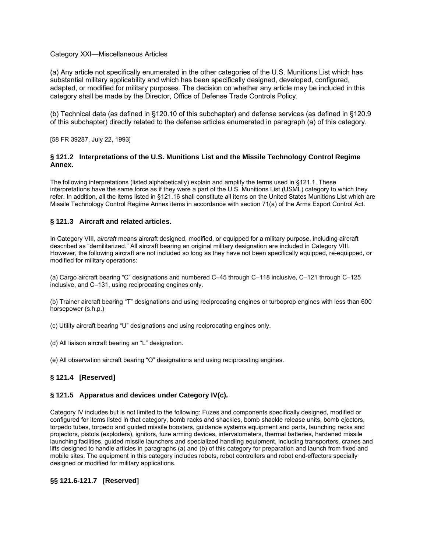### Category XXI—Miscellaneous Articles

(a) Any article not specifically enumerated in the other categories of the U.S. Munitions List which has substantial military applicability and which has been specifically designed, developed, configured, adapted, or modified for military purposes. The decision on whether any article may be included in this category shall be made by the Director, Office of Defense Trade Controls Policy.

(b) Technical data (as defined in §120.10 of this subchapter) and defense services (as defined in §120.9 of this subchapter) directly related to the defense articles enumerated in paragraph (a) of this category.

[58 FR 39287, July 22, 1993]

### **§ 121.2 Interpretations of the U.S. Munitions List and the Missile Technology Control Regime Annex.**

The following interpretations (listed alphabetically) explain and amplify the terms used in §121.1. These interpretations have the same force as if they were a part of the U.S. Munitions List (USML) category to which they refer. In addition, all the items listed in §121.16 shall constitute all items on the United States Munitions List which are Missile Technology Control Regime Annex items in accordance with section 71(a) of the Arms Export Control Act.

### **§ 121.3 Aircraft and related articles.**

In Category VIII, *aircraft* means aircraft designed, modified, or equipped for a military purpose, including aircraft described as "demilitarized." All aircraft bearing an original military designation are included in Category VIII. However, the following aircraft are not included so long as they have not been specifically equipped, re-equipped, or modified for military operations:

(a) Cargo aircraft bearing "C" designations and numbered C–45 through C–118 inclusive, C–121 through C–125 inclusive, and C–131, using reciprocating engines only.

(b) Trainer aircraft bearing "T" designations and using reciprocating engines or turboprop engines with less than 600 horsepower (s.h.p.)

(c) Utility aircraft bearing "U" designations and using reciprocating engines only.

(d) All liaison aircraft bearing an "L" designation.

(e) All observation aircraft bearing "O" designations and using reciprocating engines.

# **§ 121.4 [Reserved]**

### **§ 121.5 Apparatus and devices under Category IV(c).**

Category IV includes but is not limited to the following: Fuzes and components specifically designed, modified or configured for items listed in that category, bomb racks and shackles, bomb shackle release units, bomb ejectors, torpedo tubes, torpedo and guided missile boosters, guidance systems equipment and parts, launching racks and projectors, pistols (exploders), ignitors, fuze arming devices, intervalometers, thermal batteries, hardened missile launching facilities, guided missile launchers and specialized handling equipment, including transporters, cranes and lifts designed to handle articles in paragraphs (a) and (b) of this category for preparation and launch from fixed and mobile sites. The equipment in this category includes robots, robot controllers and robot end-effectors specially designed or modified for military applications.

# **§§ 121.6-121.7 [Reserved]**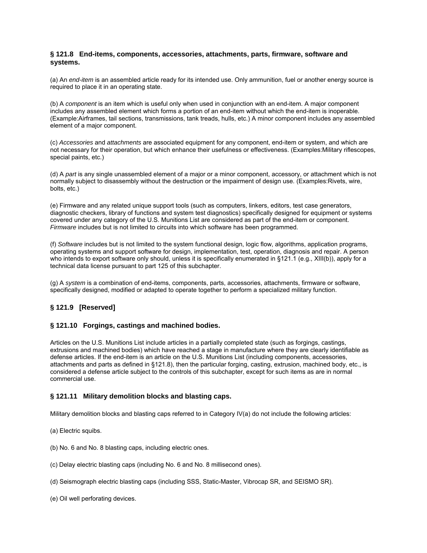### **§ 121.8 End-items, components, accessories, attachments, parts, firmware, software and systems.**

(a) An *end-item* is an assembled article ready for its intended use. Only ammunition, fuel or another energy source is required to place it in an operating state.

(b) A *component* is an item which is useful only when used in conjunction with an end-item. A major component includes any assembled element which forms a portion of an end-item without which the end-item is inoperable. (Example:Airframes, tail sections, transmissions, tank treads, hulls, etc.) A minor component includes any assembled element of a major component.

(c) *Accessories* and *attachments* are associated equipment for any component, end-item or system, and which are not necessary for their operation, but which enhance their usefulness or effectiveness. (Examples:Military riflescopes, special paints, etc.)

(d) A *part* is any single unassembled element of a major or a minor component, accessory, or attachment which is not normally subject to disassembly without the destruction or the impairment of design use. (Examples:Rivets, wire, bolts, etc.)

(e) Firmware and any related unique support tools (such as computers, linkers, editors, test case generators, diagnostic checkers, library of functions and system test diagnostics) specifically designed for equipment or systems covered under any category of the U.S. Munitions List are considered as part of the end-item or component. *Firmware* includes but is not limited to circuits into which software has been programmed.

(f) *Software* includes but is not limited to the system functional design, logic flow, algorithms, application programs, operating systems and support software for design, implementation, test, operation, diagnosis and repair. A person who intends to export software only should, unless it is specifically enumerated in §121.1 (e.g., XIII(b)), apply for a technical data license pursuant to part 125 of this subchapter.

(g) A *system* is a combination of end-items, components, parts, accessories, attachments, firmware or software, specifically designed, modified or adapted to operate together to perform a specialized military function.

# **§ 121.9 [Reserved]**

### **§ 121.10 Forgings, castings and machined bodies.**

Articles on the U.S. Munitions List include articles in a partially completed state (such as forgings, castings, extrusions and machined bodies) which have reached a stage in manufacture where they are clearly identifiable as defense articles. If the end-item is an article on the U.S. Munitions List (including components, accessories, attachments and parts as defined in §121.8), then the particular forging, casting, extrusion, machined body, etc., is considered a defense article subject to the controls of this subchapter, except for such items as are in normal commercial use.

### **§ 121.11 Military demolition blocks and blasting caps.**

Military demolition blocks and blasting caps referred to in Category IV(a) do not include the following articles:

- (a) Electric squibs.
- (b) No. 6 and No. 8 blasting caps, including electric ones.
- (c) Delay electric blasting caps (including No. 6 and No. 8 millisecond ones).
- (d) Seismograph electric blasting caps (including SSS, Static-Master, Vibrocap SR, and SEISMO SR).
- (e) Oil well perforating devices.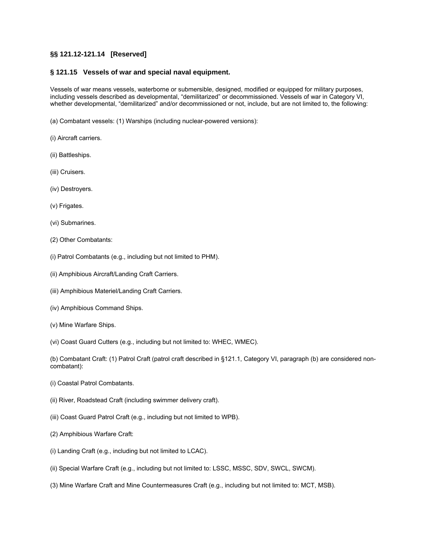# **§§ 121.12-121.14 [Reserved]**

#### **§ 121.15 Vessels of war and special naval equipment.**

Vessels of war means vessels, waterborne or submersible, designed, modified or equipped for military purposes, including vessels described as developmental, "demilitarized" or decommissioned. Vessels of war in Category VI, whether developmental, "demilitarized" and/or decommissioned or not, include, but are not limited to, the following:

- (a) Combatant vessels: (1) Warships (including nuclear-powered versions):
- (i) Aircraft carriers.
- (ii) Battleships.
- (iii) Cruisers.
- (iv) Destroyers.
- (v) Frigates.
- (vi) Submarines.
- (2) Other Combatants:
- (i) Patrol Combatants (e.g., including but not limited to PHM).
- (ii) Amphibious Aircraft/Landing Craft Carriers.
- (iii) Amphibious Materiel/Landing Craft Carriers.
- (iv) Amphibious Command Ships.
- (v) Mine Warfare Ships.
- (vi) Coast Guard Cutters (e.g., including but not limited to: WHEC, WMEC).

(b) Combatant Craft: (1) Patrol Craft (patrol craft described in §121.1, Category VI, paragraph (b) are considered noncombatant):

- (i) Coastal Patrol Combatants.
- (ii) River, Roadstead Craft (including swimmer delivery craft).
- (iii) Coast Guard Patrol Craft (e.g., including but not limited to WPB).
- (2) Amphibious Warfare Craft:
- (i) Landing Craft (e.g., including but not limited to LCAC).
- (ii) Special Warfare Craft (e.g., including but not limited to: LSSC, MSSC, SDV, SWCL, SWCM).
- (3) Mine Warfare Craft and Mine Countermeasures Craft (e.g., including but not limited to: MCT, MSB).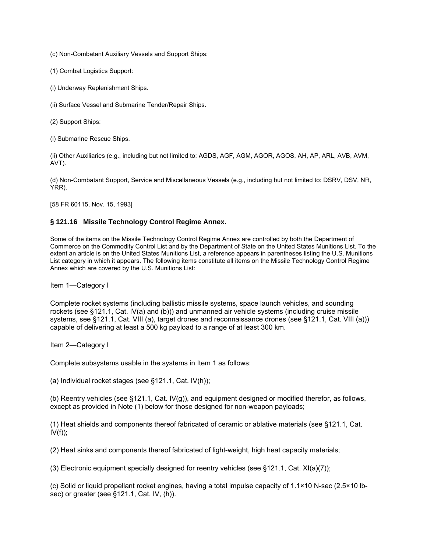(c) Non-Combatant Auxiliary Vessels and Support Ships:

(1) Combat Logistics Support:

(i) Underway Replenishment Ships.

(ii) Surface Vessel and Submarine Tender/Repair Ships.

(2) Support Ships:

(i) Submarine Rescue Ships.

(ii) Other Auxiliaries (e.g., including but not limited to: AGDS, AGF, AGM, AGOR, AGOS, AH, AP, ARL, AVB, AVM, AVT).

(d) Non-Combatant Support, Service and Miscellaneous Vessels (e.g., including but not limited to: DSRV, DSV, NR, YRR).

[58 FR 60115, Nov. 15, 1993]

#### **§ 121.16 Missile Technology Control Regime Annex.**

Some of the items on the Missile Technology Control Regime Annex are controlled by both the Department of Commerce on the Commodity Control List and by the Department of State on the United States Munitions List. To the extent an article is on the United States Munitions List, a reference appears in parentheses listing the U.S. Munitions List category in which it appears. The following items constitute all items on the Missile Technology Control Regime Annex which are covered by the U.S. Munitions List:

Item 1—Category I

Complete rocket systems (including ballistic missile systems, space launch vehicles, and sounding rockets (see §121.1, Cat. IV(a) and (b))) and unmanned air vehicle systems (including cruise missile systems, see §121.1, Cat. VIII (a), target drones and reconnaissance drones (see §121.1, Cat. VIII (a))) capable of delivering at least a 500 kg payload to a range of at least 300 km.

Item 2—Category I

Complete subsystems usable in the systems in Item 1 as follows:

(a) Individual rocket stages (see §121.1, Cat. IV(h));

(b) Reentry vehicles (see §121.1, Cat. IV(g)), and equipment designed or modified therefor, as follows, except as provided in Note (1) below for those designed for non-weapon payloads;

(1) Heat shields and components thereof fabricated of ceramic or ablative materials (see §121.1, Cat.  $IV(f)$ );

(2) Heat sinks and components thereof fabricated of light-weight, high heat capacity materials;

(3) Electronic equipment specially designed for reentry vehicles (see §121.1, Cat. XI(a)(7));

(c) Solid or liquid propellant rocket engines, having a total impulse capacity of 1.1×10 N-sec (2.5×10 lbsec) or greater (see §121.1, Cat. IV, (h)).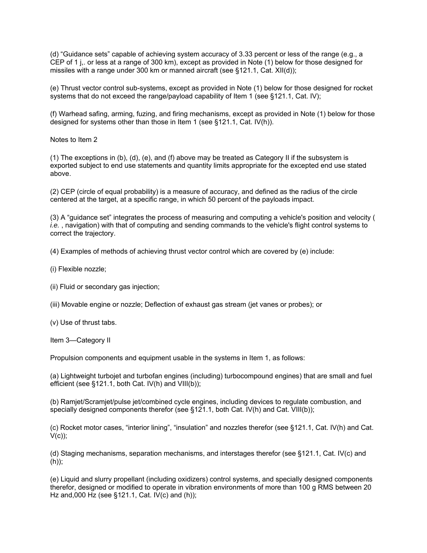(d) "Guidance sets" capable of achieving system accuracy of 3.33 percent or less of the range (e.g., a CEP of 1 j,. or less at a range of 300 km), except as provided in Note (1) below for those designed for missiles with a range under 300 km or manned aircraft (see §121.1, Cat. XII(d));

(e) Thrust vector control sub-systems, except as provided in Note (1) below for those designed for rocket systems that do not exceed the range/payload capability of Item 1 (see §121.1, Cat. IV);

(f) Warhead safing, arming, fuzing, and firing mechanisms, except as provided in Note (1) below for those designed for systems other than those in Item 1 (see §121.1, Cat. IV(h)).

Notes to Item 2

(1) The exceptions in (b), (d), (e), and (f) above may be treated as Category II if the subsystem is exported subject to end use statements and quantity limits appropriate for the excepted end use stated above.

(2) CEP (circle of equal probability) is a measure of accuracy, and defined as the radius of the circle centered at the target, at a specific range, in which 50 percent of the payloads impact.

(3) A "guidance set" integrates the process of measuring and computing a vehicle's position and velocity ( *i.e.* , navigation) with that of computing and sending commands to the vehicle's flight control systems to correct the trajectory.

(4) Examples of methods of achieving thrust vector control which are covered by (e) include:

(i) Flexible nozzle;

(ii) Fluid or secondary gas injection;

(iii) Movable engine or nozzle; Deflection of exhaust gas stream (jet vanes or probes); or

(v) Use of thrust tabs.

Item 3—Category II

Propulsion components and equipment usable in the systems in Item 1, as follows:

(a) Lightweight turbojet and turbofan engines (including) turbocompound engines) that are small and fuel efficient (see §121.1, both Cat. IV(h) and VIII(b));

(b) Ramjet/Scramjet/pulse jet/combined cycle engines, including devices to regulate combustion, and specially designed components therefor (see §121.1, both Cat. IV(h) and Cat. VIII(b));

(c) Rocket motor cases, "interior lining", "insulation" and nozzles therefor (see §121.1, Cat. IV(h) and Cat.  $V(c)$ ;

(d) Staging mechanisms, separation mechanisms, and interstages therefor (see §121.1, Cat. IV(c) and (h));

(e) Liquid and slurry propellant (including oxidizers) control systems, and specially designed components therefor, designed or modified to operate in vibration environments of more than 100 g RMS between 20 Hz and,000 Hz (see §121.1, Cat. IV(c) and (h));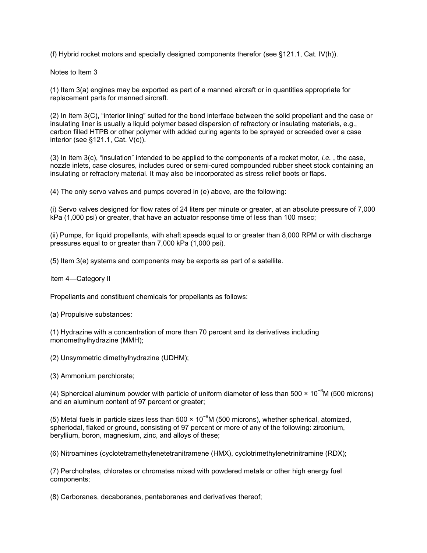(f) Hybrid rocket motors and specially designed components therefor (see §121.1, Cat. IV(h)).

Notes to Item 3

(1) Item 3(a) engines may be exported as part of a manned aircraft or in quantities appropriate for replacement parts for manned aircraft.

(2) In Item 3(C), "interior lining" suited for the bond interface between the solid propellant and the case or insulating liner is usually a liquid polymer based dispersion of refractory or insulating materials, e.g., carbon filled HTPB or other polymer with added curing agents to be sprayed or screeded over a case interior (see §121.1, Cat. V(c)).

(3) In Item 3(c), "insulation" intended to be applied to the components of a rocket motor, *i.e.* , the case, nozzle inlets, case closures, includes cured or semi-cured compounded rubber sheet stock containing an insulating or refractory material. It may also be incorporated as stress relief boots or flaps.

(4) The only servo valves and pumps covered in (e) above, are the following:

(i) Servo valves designed for flow rates of 24 liters per minute or greater, at an absolute pressure of 7,000 kPa (1,000 psi) or greater, that have an actuator response time of less than 100 msec;

(ii) Pumps, for liquid propellants, with shaft speeds equal to or greater than 8,000 RPM or with discharge pressures equal to or greater than 7,000 kPa (1,000 psi).

(5) Item 3(e) systems and components may be exports as part of a satellite.

Item 4—Category II

Propellants and constituent chemicals for propellants as follows:

(a) Propulsive substances:

(1) Hydrazine with a concentration of more than 70 percent and its derivatives including monomethylhydrazine (MMH);

(2) Unsymmetric dimethylhydrazine (UDHM);

(3) Ammonium perchlorate;

(4) Sphercical aluminum powder with particle of uniform diameter of less than 500 × 10<sup>-6</sup>M (500 microns) and an aluminum content of 97 percent or greater;

(5) Metal fuels in particle sizes less than 500  $\times$  10<sup>-6</sup>M (500 microns), whether spherical, atomized, spheriodal, flaked or ground, consisting of 97 percent or more of any of the following: zirconium, beryllium, boron, magnesium, zinc, and alloys of these;

(6) Nitroamines (cyclotetramethylenetetranitramene (HMX), cyclotrimethylenetrinitramine (RDX);

(7) Percholrates, chlorates or chromates mixed with powdered metals or other high energy fuel components;

(8) Carboranes, decaboranes, pentaboranes and derivatives thereof;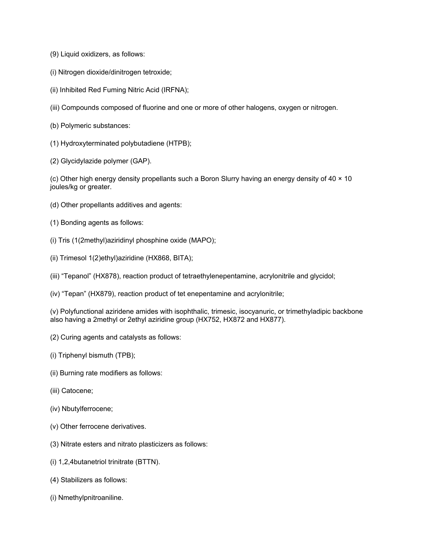- (9) Liquid oxidizers, as follows:
- (i) Nitrogen dioxide/dinitrogen tetroxide;
- (ii) Inhibited Red Fuming Nitric Acid (IRFNA);
- (iii) Compounds composed of fluorine and one or more of other halogens, oxygen or nitrogen.
- (b) Polymeric substances:
- (1) Hydroxyterminated polybutadiene (HTPB);
- (2) Glycidylazide polymer (GAP).

(c) Other high energy density propellants such a Boron Slurry having an energy density of 40 × 10 joules/kg or greater.

- (d) Other propellants additives and agents:
- (1) Bonding agents as follows:
- (i) Tris (1(2methyl)aziridinyl phosphine oxide (MAPO);
- (ii) Trimesol 1(2)ethyl)aziridine (HX868, BITA);
- (iii) "Tepanol" (HX878), reaction product of tetraethylenepentamine, acrylonitrile and glycidol;
- (iv) "Tepan" (HX879), reaction product of tet enepentamine and acrylonitrile;

(v) Polyfunctional aziridene amides with isophthalic, trimesic, isocyanuric, or trimethyladipic backbone also having a 2methyl or 2ethyl aziridine group (HX752, HX872 and HX877).

- (2) Curing agents and catalysts as follows:
- (i) Triphenyl bismuth (TPB);
- (ii) Burning rate modifiers as follows:
- (iii) Catocene;
- (iv) Nbutylferrocene;
- (v) Other ferrocene derivatives.
- (3) Nitrate esters and nitrato plasticizers as follows:
- (i) 1,2,4butanetriol trinitrate (BTTN).
- (4) Stabilizers as follows:
- (i) Nmethylpnitroaniline.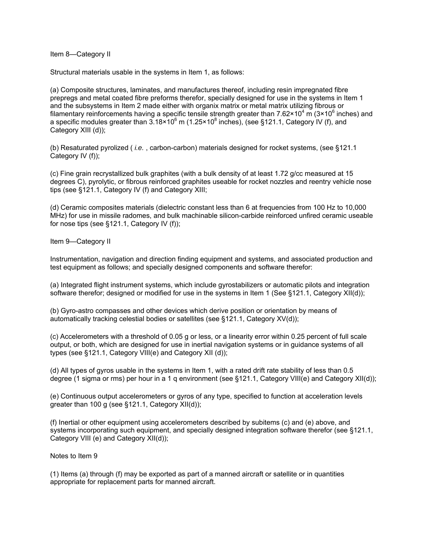Item 8—Category II

Structural materials usable in the systems in Item 1, as follows:

(a) Composite structures, laminates, and manufactures thereof, including resin impregnated fibre prepregs and metal coated fibre preforms therefor, specially designed for use in the systems in Item 1 and the subsystems in Item 2 made either with organix matrix or metal matrix utilizing fibrous or filamentary reinforcements having a specific tensile strength greater than 7.62×10<sup>4</sup> m (3×10<sup>6</sup> inches) and a specific modules greater than  $3.18 \times 10^6$  m (1.25 $\times$ 10 $^8$  inches), (see §121.1, Category IV (f), and Category XIII (d));

(b) Resaturated pyrolized ( *i.e.* , carbon-carbon) materials designed for rocket systems, (see §121.1 Category IV (f));

(c) Fine grain recrystallized bulk graphites (with a bulk density of at least 1.72 g/cc measured at 15 degrees C), pyrolytic, or fibrous reinforced graphites useable for rocket nozzles and reentry vehicle nose tips (see §121.1, Category IV (f) and Category XIII;

(d) Ceramic composites materials (dielectric constant less than 6 at frequencies from 100 Hz to 10,000 MHz) for use in missile radomes, and bulk machinable silicon-carbide reinforced unfired ceramic useable for nose tips (see §121.1, Category IV (f));

Item 9—Category II

Instrumentation, navigation and direction finding equipment and systems, and associated production and test equipment as follows; and specially designed components and software therefor:

(a) Integrated flight instrument systems, which include gyrostabilizers or automatic pilots and integration software therefor; designed or modified for use in the systems in Item 1 (See §121.1, Category XII(d));

(b) Gyro-astro compasses and other devices which derive position or orientation by means of automatically tracking celestial bodies or satellites (see §121.1, Category XV(d));

(c) Accelerometers with a threshold of 0.05 g or less, or a linearity error within 0.25 percent of full scale output, or both, which are designed for use in inertial navigation systems or in guidance systems of all types (see §121.1, Category VIII(e) and Category XII (d));

(d) All types of gyros usable in the systems in Item 1, with a rated drift rate stability of less than 0.5 degree (1 sigma or rms) per hour in a 1 q environment (see §121.1, Category VIII(e) and Category XII(d));

(e) Continuous output accelerometers or gyros of any type, specified to function at acceleration levels greater than 100 g (see §121.1, Category XII(d));

(f) Inertial or other equipment using accelerometers described by subitems (c) and (e) above, and systems incorporating such equipment, and specially designed integration software therefor (see §121.1, Category VIII (e) and Category XII(d));

Notes to Item 9

(1) Items (a) through (f) may be exported as part of a manned aircraft or satellite or in quantities appropriate for replacement parts for manned aircraft.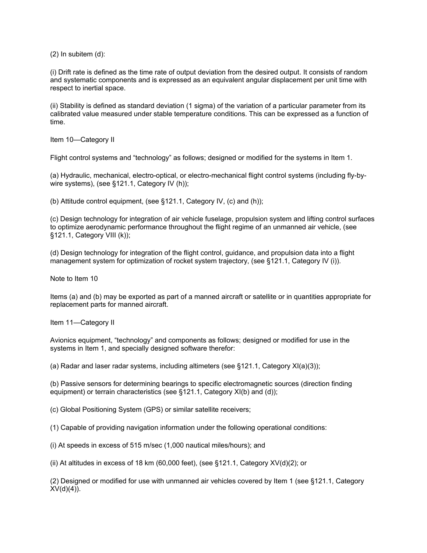(2) In subitem (d):

(i) Drift rate is defined as the time rate of output deviation from the desired output. It consists of random and systematic components and is expressed as an equivalent angular displacement per unit time with respect to inertial space.

(ii) Stability is defined as standard deviation (1 sigma) of the variation of a particular parameter from its calibrated value measured under stable temperature conditions. This can be expressed as a function of time.

Item 10—Category II

Flight control systems and "technology" as follows; designed or modified for the systems in Item 1.

(a) Hydraulic, mechanical, electro-optical, or electro-mechanical flight control systems (including fly-bywire systems), (see §121.1, Category IV (h));

(b) Attitude control equipment, (see §121.1, Category IV, (c) and (h));

(c) Design technology for integration of air vehicle fuselage, propulsion system and lifting control surfaces to optimize aerodynamic performance throughout the flight regime of an unmanned air vehicle, (see §121.1, Category VIII (k));

(d) Design technology for integration of the flight control, guidance, and propulsion data into a flight management system for optimization of rocket system trajectory, (see §121.1, Category IV (i)).

Note to Item 10

Items (a) and (b) may be exported as part of a manned aircraft or satellite or in quantities appropriate for replacement parts for manned aircraft.

Item 11—Category II

Avionics equipment, "technology" and components as follows; designed or modified for use in the systems in Item 1, and specially designed software therefor:

(a) Radar and laser radar systems, including altimeters (see  $\S$ 121.1, Category XI(a)(3));

(b) Passive sensors for determining bearings to specific electromagnetic sources (direction finding equipment) or terrain characteristics (see §121.1, Category XI(b) and (d));

(c) Global Positioning System (GPS) or similar satellite receivers;

(1) Capable of providing navigation information under the following operational conditions:

(i) At speeds in excess of 515 m/sec (1,000 nautical miles/hours); and

(ii) At altitudes in excess of 18 km (60,000 feet), (see §121.1, Category  $XV(d)(2)$ ; or

(2) Designed or modified for use with unmanned air vehicles covered by Item 1 (see §121.1, Category  $XV(d)(4)$ ).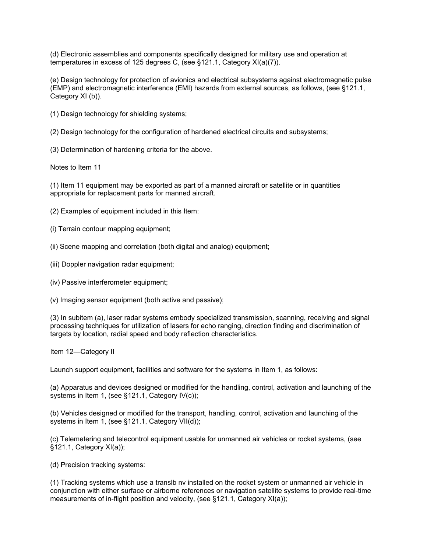(d) Electronic assemblies and components specifically designed for military use and operation at temperatures in excess of 125 degrees C, (see §121.1, Category XI(a)(7)).

(e) Design technology for protection of avionics and electrical subsystems against electromagnetic pulse (EMP) and electromagnetic interference (EMI) hazards from external sources, as follows, (see §121.1, Category XI (b)).

(1) Design technology for shielding systems;

(2) Design technology for the configuration of hardened electrical circuits and subsystems;

(3) Determination of hardening criteria for the above.

Notes to Item 11

(1) Item 11 equipment may be exported as part of a manned aircraft or satellite or in quantities appropriate for replacement parts for manned aircraft.

(2) Examples of equipment included in this Item:

(i) Terrain contour mapping equipment;

- (ii) Scene mapping and correlation (both digital and analog) equipment;
- (iii) Doppler navigation radar equipment;
- (iv) Passive interferometer equipment;

(v) Imaging sensor equipment (both active and passive);

(3) In subitem (a), laser radar systems embody specialized transmission, scanning, receiving and signal processing techniques for utilization of lasers for echo ranging, direction finding and discrimination of targets by location, radial speed and body reflection characteristics.

Item 12—Category II

Launch support equipment, facilities and software for the systems in Item 1, as follows:

(a) Apparatus and devices designed or modified for the handling, control, activation and launching of the systems in Item 1, (see §121.1, Category IV(c));

(b) Vehicles designed or modified for the transport, handling, control, activation and launching of the systems in Item 1, (see §121.1, Category VII(d));

(c) Telemetering and telecontrol equipment usable for unmanned air vehicles or rocket systems, (see §121.1, Category XI(a));

(d) Precision tracking systems:

(1) Tracking systems which use a translb nv installed on the rocket system or unmanned air vehicle in conjunction with either surface or airborne references or navigation satellite systems to provide real-time measurements of in-flight position and velocity, (see §121.1, Category XI(a));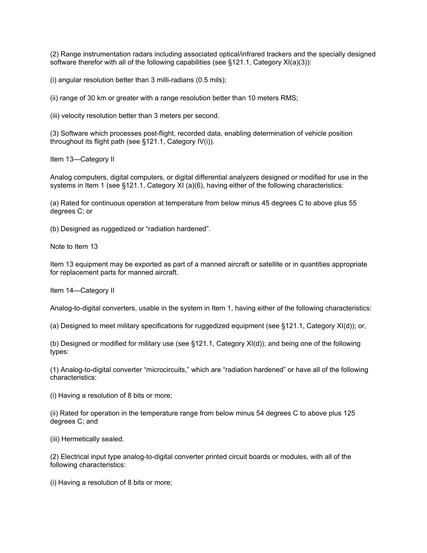(2) Range instrumentation radars including associated optical/infrared trackers and the specially designed software therefor with all of the following capabilities (see  $\S$ 121.1, Category XI(a)(3)):

(i) angular resolution better than 3 milli-radians (0.5 mils);

(ii) range of 30 km or greater with a range resolution better than 10 meters RMS;

(iii) velocity resolution better than 3 meters per second.

(3) Software which processes post-flight, recorded data, enabling determination of vehicle position throughout its flight path (see §121.1, Category IV(i)).

Item 13—Category II

Analog computers, digital computers, or digital differential analyzers designed or modified for use in the systems in Item 1 (see §121.1, Category XI (a)(6), having either of the following characteristics:

(a) Rated for continuous operation at temperature from below minus 45 degrees C to above plus 55 degrees C; or

(b) Designed as ruggedized or "radiation hardened".

Note to Item 13

Item 13 equipment may be exported as part of a manned aircraft or satellite or in quantities appropriate for replacement parts for manned aircraft.

Item 14—Category II

Analog-to-digital converters, usable in the system in Item 1, having either of the following characteristics:

(a) Designed to meet military specifications for ruggedized equipment (see §121.1, Category XI(d)); or,

(b) Designed or modified for military use (see §121.1, Category XI(d)); and being one of the following types:

(1) Analog-to-digital converter "microcircuits," which are "radiation hardened" or have all of the following characteristics:

(i) Having a resolution of 8 bits or more;

(ii) Rated for operation in the temperature range from below minus 54 degrees C to above plus 125 degrees C; and

(iii) Hermetically sealed.

(2) Electrical input type analog-to-digital converter printed circuit boards or modules, with all of the following characteristics:

(i) Having a resolution of 8 bits or more;